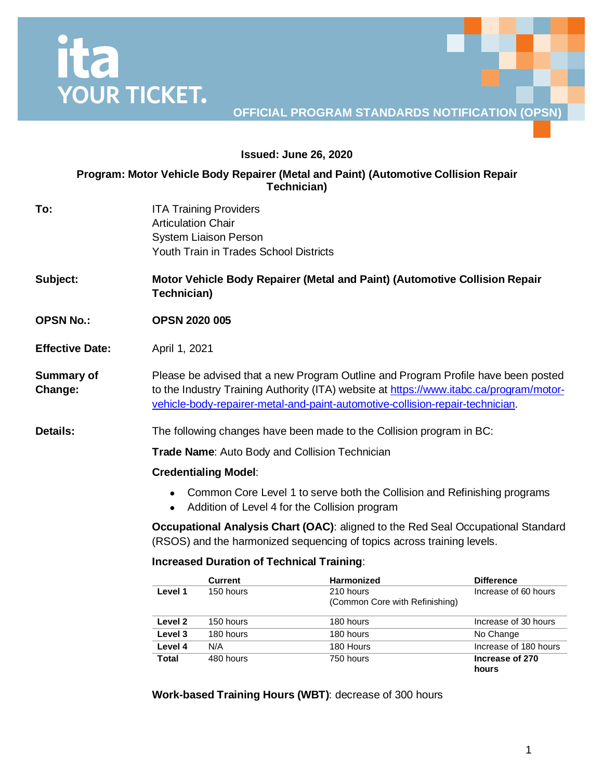# **ITA**<br>YOUR TICKET.

## **OFFICIAL PROGRAM STANDARDS NOTIFICATION (OPSN)**

## **Issued: June 26, 2020**

## **Program: Motor Vehicle Body Repairer (Metal and Paint) (Automotive Collision Repair Technician)**

**To:** ITA Training Providers Articulation Chair System Liaison Person Youth Train in Trades School Districts

**Subject: Motor Vehicle Body Repairer (Metal and Paint) (Automotive Collision Repair Technician)**

- **OPSN No.: OPSN 2020 005**
- **Effective Date:** April 1, 2021

**Summary of Change:** Please be advised that a new Program Outline and Program Profile have been posted to the Industry Training Authority (ITA) website at [https://www.itabc.ca/program/motor](https://www.itabc.ca/program/motor-vehicle-body-repairer-metal-and-paint-automotive-collision-repair-technician)[vehicle-body-repairer-metal-and-paint-automotive-collision-repair-technician.](https://www.itabc.ca/program/motor-vehicle-body-repairer-metal-and-paint-automotive-collision-repair-technician)

**Details:** The following changes have been made to the Collision program in BC:

**Trade Name**: Auto Body and Collision Technician

## **Credentialing Model**:

- Common Core Level 1 to serve both the Collision and Refinishing programs
- Addition of Level 4 for the Collision program

**Occupational Analysis Chart (OAC)**: aligned to the Red Seal Occupational Standard (RSOS) and the harmonized sequencing of topics across training levels.

## **Increased Duration of Technical Training**:

|         | <b>Current</b> | <b>Harmonized</b>                           | <b>Difference</b>        |
|---------|----------------|---------------------------------------------|--------------------------|
| Level 1 | 150 hours      | 210 hours<br>(Common Core with Refinishing) | Increase of 60 hours     |
| Level 2 | 150 hours      | 180 hours                                   | Increase of 30 hours     |
| Level 3 | 180 hours      | 180 hours                                   | No Change                |
| Level 4 | N/A            | 180 Hours                                   | Increase of 180 hours    |
| Total   | 480 hours      | 750 hours                                   | Increase of 270<br>hours |

**Work-based Training Hours (WBT)**: decrease of 300 hours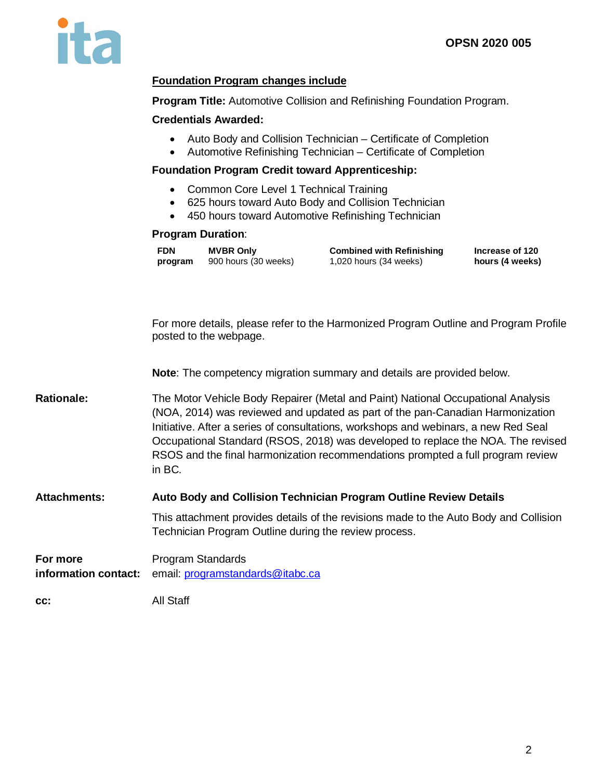

## **Foundation Program changes include**

**Program Title:** Automotive Collision and Refinishing Foundation Program.

## **Credentials Awarded:**

- Auto Body and Collision Technician Certificate of Completion
- Automotive Refinishing Technician Certificate of Completion

## **Foundation Program Credit toward Apprenticeship:**

- Common Core Level 1 Technical Training
- 625 hours toward Auto Body and Collision Technician
- 450 hours toward Automotive Refinishing Technician

## **Program Duration**:

| <b>FDN</b> | <b>MVBR Only</b>     | <b>Combined with Refinishing</b> | Increase of 120 |
|------------|----------------------|----------------------------------|-----------------|
| program    | 900 hours (30 weeks) | 1,020 hours (34 weeks)           | hours (4 weeks) |

For more details, please refer to the Harmonized Program Outline and Program Profile posted to the webpage.

**Note**: The competency migration summary and details are provided below.

Rationale: The Motor Vehicle Body Repairer (Metal and Paint) National Occupational Analysis (NOA, 2014) was reviewed and updated as part of the pan-Canadian Harmonization Initiative. After a series of consultations, workshops and webinars, a new Red Seal Occupational Standard (RSOS, 2018) was developed to replace the NOA. The revised RSOS and the final harmonization recommendations prompted a full program review in BC.

## **Attachments: Auto Body and Collision Technician Program Outline Review Details**

This attachment provides details of the revisions made to the Auto Body and Collision Technician Program Outline during the review process.

**For more information contact:** Program Standards email: [programstandards@itabc.ca](mailto:programstandards@itabc.ca)

**cc:** All Staff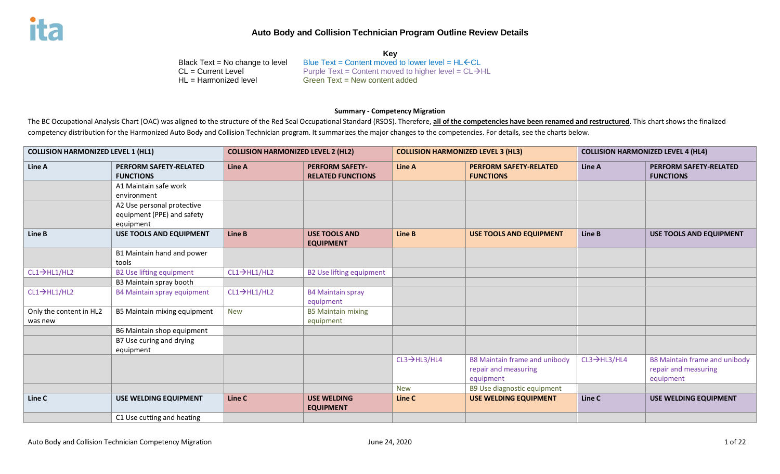**Key** Black Text = No change to level Blue Text = Content moved to lower level =  $HL$   $\leftarrow$  CL = Current Level = CL  $\rightarrow$  Purple Text = Content moved to higher level = CL  $\rightarrow$  Purple Text = Content moved to higher level = CL  $\rightarrow$  $CL = Current Level$ <br>  $HL = Hamonized level$ <br>  $Green Text = New content added$ Green Text = New content added

#### **Summary - Competency Migration**

The BC Occupational Analysis Chart (OAC) was aligned to the structure of the Red Seal Occupational Standard (RSOS). Therefore, **all of the competencies have been renamed and restructured**. This chart shows the finalized competency distribution for the Harmonized Auto Body and Collision Technician program. It summarizes the major changes to the competencies. For details, see the charts below.

| <b>COLLISION HARMONIZED LEVEL 1 (HL1)</b> |                                                                       | <b>COLLISION HARMONIZED LEVEL 2 (HL2)</b> |                                                    | <b>COLLISION HARMONIZED LEVEL 3 (HL3)</b> |                                                                    | <b>COLLISION HARMONIZED LEVEL 4 (HL4)</b> |                                                                    |
|-------------------------------------------|-----------------------------------------------------------------------|-------------------------------------------|----------------------------------------------------|-------------------------------------------|--------------------------------------------------------------------|-------------------------------------------|--------------------------------------------------------------------|
| Line A                                    | <b>PERFORM SAFETY-RELATED</b><br><b>FUNCTIONS</b>                     | Line A                                    | <b>PERFORM SAFETY-</b><br><b>RELATED FUNCTIONS</b> | Line A                                    | <b>PERFORM SAFETY-RELATED</b><br><b>FUNCTIONS</b>                  | Line A                                    | <b>PERFORM SAFETY-RELATED</b><br><b>FUNCTIONS</b>                  |
|                                           | A1 Maintain safe work<br>environment                                  |                                           |                                                    |                                           |                                                                    |                                           |                                                                    |
|                                           | A2 Use personal protective<br>equipment (PPE) and safety<br>equipment |                                           |                                                    |                                           |                                                                    |                                           |                                                                    |
| Line B                                    | <b>USE TOOLS AND EQUIPMENT</b>                                        | Line B                                    | <b>USE TOOLS AND</b><br><b>EQUIPMENT</b>           | Line B                                    | <b>USE TOOLS AND EQUIPMENT</b>                                     | Line B                                    | <b>USE TOOLS AND EQUIPMENT</b>                                     |
|                                           | B1 Maintain hand and power<br>tools                                   |                                           |                                                    |                                           |                                                                    |                                           |                                                                    |
| $CL1 \rightarrow HLI/HL2$                 | <b>B2 Use lifting equipment</b>                                       | $CL1 \rightarrow H1/H12$                  | <b>B2 Use lifting equipment</b>                    |                                           |                                                                    |                                           |                                                                    |
|                                           | B3 Maintain spray booth                                               |                                           |                                                    |                                           |                                                                    |                                           |                                                                    |
| $CL1 \rightarrow HLI/HL2$                 | <b>B4 Maintain spray equipment</b>                                    | $CL1 \rightarrow H1/H12$                  | <b>B4 Maintain spray</b><br>equipment              |                                           |                                                                    |                                           |                                                                    |
| Only the content in HL2<br>was new        | B5 Maintain mixing equipment                                          | <b>New</b>                                | <b>B5 Maintain mixing</b><br>equipment             |                                           |                                                                    |                                           |                                                                    |
|                                           | B6 Maintain shop equipment                                            |                                           |                                                    |                                           |                                                                    |                                           |                                                                    |
|                                           | B7 Use curing and drying<br>equipment                                 |                                           |                                                    |                                           |                                                                    |                                           |                                                                    |
|                                           |                                                                       |                                           |                                                    | $CL3 \rightarrow HL3/HL4$                 | B8 Maintain frame and unibody<br>repair and measuring<br>equipment | $CL3 \rightarrow HL3/HL4$                 | B8 Maintain frame and unibody<br>repair and measuring<br>equipment |
|                                           |                                                                       |                                           |                                                    | <b>New</b>                                | B9 Use diagnostic equipment                                        |                                           |                                                                    |
| Line C                                    | USE WELDING EQUIPMENT                                                 | Line C                                    | <b>USE WELDING</b><br><b>EQUIPMENT</b>             | Line C                                    | <b>USE WELDING EQUIPMENT</b>                                       | Line C                                    | <b>USE WELDING EQUIPMENT</b>                                       |
|                                           | C1 Use cutting and heating                                            |                                           |                                                    |                                           |                                                                    |                                           |                                                                    |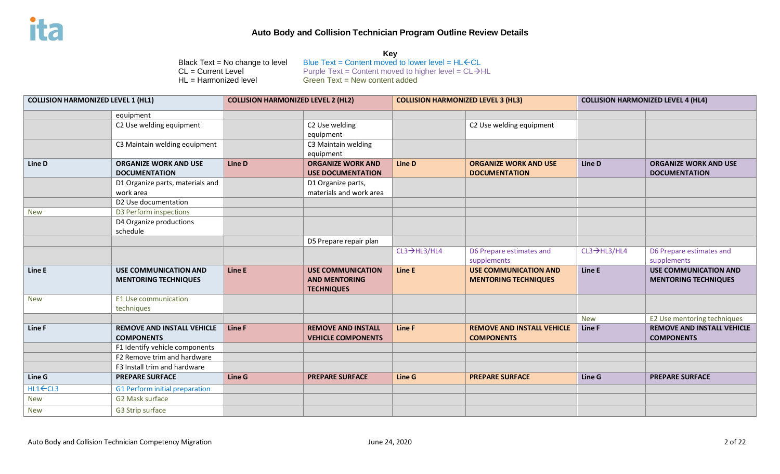| <b>COLLISION HARMONIZED LEVEL 1 (HL1)</b> |                                                               | <b>COLLISION HARMONIZED LEVEL 2 (HL2)</b> |                                                                       | <b>COLLISION HARMONIZED LEVEL 3 (HL3)</b> |                                                             | <b>COLLISION HARMONIZED LEVEL 4 (HL4)</b> |                                                             |
|-------------------------------------------|---------------------------------------------------------------|-------------------------------------------|-----------------------------------------------------------------------|-------------------------------------------|-------------------------------------------------------------|-------------------------------------------|-------------------------------------------------------------|
|                                           | equipment                                                     |                                           |                                                                       |                                           |                                                             |                                           |                                                             |
|                                           | C2 Use welding equipment                                      |                                           | C2 Use welding<br>equipment                                           |                                           | C2 Use welding equipment                                    |                                           |                                                             |
|                                           | C3 Maintain welding equipment                                 |                                           | C3 Maintain welding<br>equipment                                      |                                           |                                                             |                                           |                                                             |
| Line D                                    | <b>ORGANIZE WORK AND USE</b><br><b>DOCUMENTATION</b>          | Line D                                    | <b>ORGANIZE WORK AND</b><br><b>USE DOCUMENTATION</b>                  | Line D                                    | <b>ORGANIZE WORK AND USE</b><br><b>DOCUMENTATION</b>        | Line D                                    | <b>ORGANIZE WORK AND USE</b><br><b>DOCUMENTATION</b>        |
|                                           | D1 Organize parts, materials and<br>work area                 |                                           | D1 Organize parts,<br>materials and work area                         |                                           |                                                             |                                           |                                                             |
|                                           | D2 Use documentation                                          |                                           |                                                                       |                                           |                                                             |                                           |                                                             |
| <b>New</b>                                | D3 Perform inspections<br>D4 Organize productions<br>schedule |                                           |                                                                       |                                           |                                                             |                                           |                                                             |
|                                           |                                                               |                                           | D5 Prepare repair plan                                                |                                           |                                                             |                                           |                                                             |
|                                           |                                                               |                                           |                                                                       | $CL3 \rightarrow HL3/HL4$                 | D6 Prepare estimates and<br>supplements                     | $CL3 \rightarrow HL3/HL4$                 | D6 Prepare estimates and<br>supplements                     |
| Line E                                    | <b>USE COMMUNICATION AND</b><br><b>MENTORING TECHNIQUES</b>   | Line E                                    | <b>USE COMMUNICATION</b><br><b>AND MENTORING</b><br><b>TECHNIQUES</b> | Line E                                    | <b>USE COMMUNICATION AND</b><br><b>MENTORING TECHNIQUES</b> | Line E                                    | <b>USE COMMUNICATION AND</b><br><b>MENTORING TECHNIQUES</b> |
| <b>New</b>                                | E1 Use communication<br>techniques                            |                                           |                                                                       |                                           |                                                             |                                           |                                                             |
|                                           |                                                               |                                           |                                                                       |                                           |                                                             | <b>New</b>                                | E2 Use mentoring techniques                                 |
| Line F                                    | <b>REMOVE AND INSTALL VEHICLE</b><br><b>COMPONENTS</b>        | <b>Line F</b>                             | <b>REMOVE AND INSTALL</b><br><b>VEHICLE COMPONENTS</b>                | Line F                                    | <b>REMOVE AND INSTALL VEHICLE</b><br><b>COMPONENTS</b>      | Line F                                    | <b>REMOVE AND INSTALL VEHICLE</b><br><b>COMPONENTS</b>      |
|                                           | F1 Identify vehicle components                                |                                           |                                                                       |                                           |                                                             |                                           |                                                             |
|                                           | F2 Remove trim and hardware                                   |                                           |                                                                       |                                           |                                                             |                                           |                                                             |
|                                           | F3 Install trim and hardware                                  |                                           |                                                                       |                                           |                                                             |                                           |                                                             |
| Line G                                    | <b>PREPARE SURFACE</b>                                        | Line G                                    | <b>PREPARE SURFACE</b>                                                | <b>Line G</b>                             | <b>PREPARE SURFACE</b>                                      | Line G                                    | <b>PREPARE SURFACE</b>                                      |
| HL1←CL3                                   | G1 Perform initial preparation                                |                                           |                                                                       |                                           |                                                             |                                           |                                                             |
| <b>New</b>                                | G2 Mask surface                                               |                                           |                                                                       |                                           |                                                             |                                           |                                                             |
| <b>New</b>                                | G3 Strip surface                                              |                                           |                                                                       |                                           |                                                             |                                           |                                                             |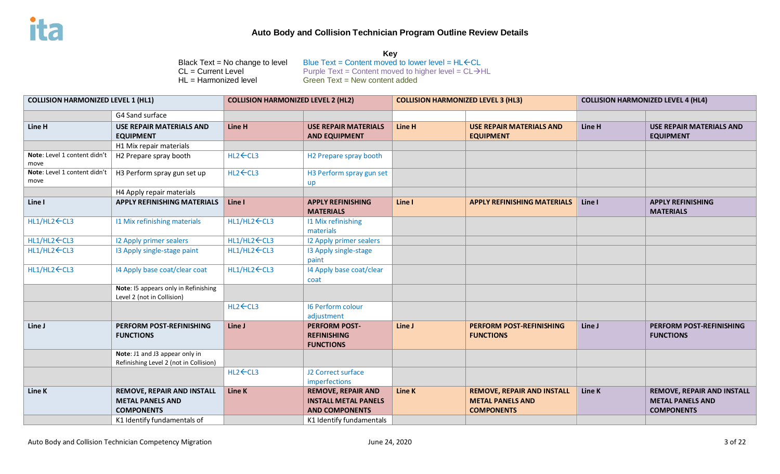| <b>COLLISION HARMONIZED LEVEL 1 (HL1)</b> |                                                                          | <b>COLLISION HARMONIZED LEVEL 2 (HL2)</b> |                                                                | <b>COLLISION HARMONIZED LEVEL 3 (HL3)</b> |                                                     | <b>COLLISION HARMONIZED LEVEL 4 (HL4)</b> |                                                     |
|-------------------------------------------|--------------------------------------------------------------------------|-------------------------------------------|----------------------------------------------------------------|-------------------------------------------|-----------------------------------------------------|-------------------------------------------|-----------------------------------------------------|
|                                           | G4 Sand surface                                                          |                                           |                                                                |                                           |                                                     |                                           |                                                     |
| Line H                                    | <b>USE REPAIR MATERIALS AND</b><br><b>EQUIPMENT</b>                      | Line H                                    | <b>USE REPAIR MATERIALS</b><br><b>AND EQUIPMENT</b>            | Line H                                    | <b>USE REPAIR MATERIALS AND</b><br><b>EQUIPMENT</b> | Line H                                    | <b>USE REPAIR MATERIALS AND</b><br><b>EQUIPMENT</b> |
|                                           | H1 Mix repair materials                                                  |                                           |                                                                |                                           |                                                     |                                           |                                                     |
| Note: Level 1 content didn't<br>move      | H2 Prepare spray booth                                                   | HL2←CL3                                   | H2 Prepare spray booth                                         |                                           |                                                     |                                           |                                                     |
| Note: Level 1 content didn't<br>move      | H3 Perform spray gun set up                                              | HL2←CL3                                   | H3 Perform spray gun set<br>up                                 |                                           |                                                     |                                           |                                                     |
|                                           | H4 Apply repair materials                                                |                                           |                                                                |                                           |                                                     |                                           |                                                     |
| Line I                                    | <b>APPLY REFINISHING MATERIALS</b>                                       | Line I                                    | <b>APPLY REFINISHING</b><br><b>MATERIALS</b>                   | Line I                                    | <b>APPLY REFINISHING MATERIALS</b>                  | Line I                                    | <b>APPLY REFINISHING</b><br><b>MATERIALS</b>        |
| HL1/HL2 ← CL3                             | <b>11 Mix refinishing materials</b>                                      | HL1/HL2 ← CL3                             | 11 Mix refinishing<br>materials                                |                                           |                                                     |                                           |                                                     |
| HL1/HL2 ← CL3                             | <b>I2 Apply primer sealers</b>                                           | HL1/HL2 ← CL3                             | 12 Apply primer sealers                                        |                                           |                                                     |                                           |                                                     |
| HL1/HL2 ← CL3                             | 13 Apply single-stage paint                                              | HL1/HL2 ← CL3                             | 13 Apply single-stage<br>paint                                 |                                           |                                                     |                                           |                                                     |
| HL1/HL2 ← CL3                             | 14 Apply base coat/clear coat                                            | HL1/HL2 ← CL3                             | 14 Apply base coat/clear<br>coat                               |                                           |                                                     |                                           |                                                     |
|                                           | Note: I5 appears only in Refinishing<br>Level 2 (not in Collision)       |                                           |                                                                |                                           |                                                     |                                           |                                                     |
|                                           |                                                                          | HL2←CL3                                   | <b>16 Perform colour</b><br>adjustment                         |                                           |                                                     |                                           |                                                     |
| Line J                                    | PERFORM POST-REFINISHING<br><b>FUNCTIONS</b>                             | Line J                                    | <b>PERFORM POST-</b><br><b>REFINISHING</b><br><b>FUNCTIONS</b> | Line J                                    | <b>PERFORM POST-REFINISHING</b><br><b>FUNCTIONS</b> | Line J                                    | PERFORM POST-REFINISHING<br><b>FUNCTIONS</b>        |
|                                           | Note: J1 and J3 appear only in<br>Refinishing Level 2 (not in Collision) |                                           |                                                                |                                           |                                                     |                                           |                                                     |
|                                           |                                                                          | HL2←CL3                                   | J2 Correct surface<br>imperfections                            |                                           |                                                     |                                           |                                                     |
| Line K                                    | REMOVE, REPAIR AND INSTALL                                               | Line K                                    | <b>REMOVE, REPAIR AND</b>                                      | <b>Line K</b>                             | <b>REMOVE, REPAIR AND INSTALL</b>                   | Line K                                    | <b>REMOVE, REPAIR AND INSTALL</b>                   |
|                                           | <b>METAL PANELS AND</b>                                                  |                                           | <b>INSTALL METAL PANELS</b>                                    |                                           | <b>METAL PANELS AND</b>                             |                                           | <b>METAL PANELS AND</b>                             |
|                                           | <b>COMPONENTS</b>                                                        |                                           | <b>AND COMPONENTS</b>                                          |                                           | <b>COMPONENTS</b>                                   |                                           | <b>COMPONENTS</b>                                   |
|                                           | K1 Identify fundamentals of                                              |                                           | K1 Identify fundamentals                                       |                                           |                                                     |                                           |                                                     |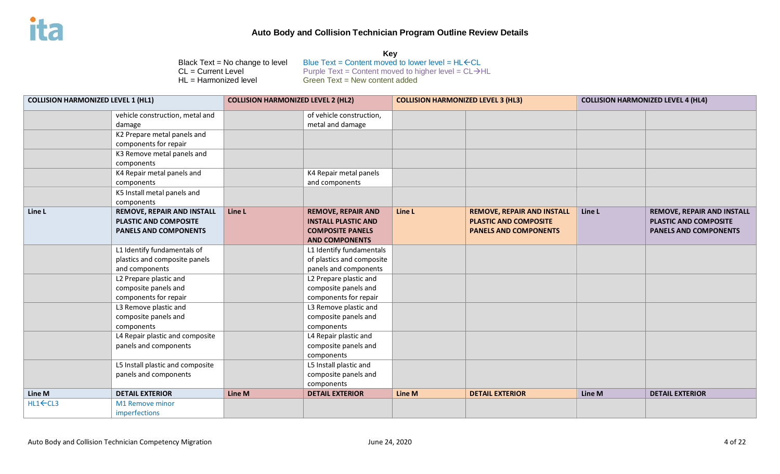| <b>COLLISION HARMONIZED LEVEL 1 (HL1)</b> |                                           | <b>COLLISION HARMONIZED LEVEL 2 (HL2)</b> |                                              | <b>COLLISION HARMONIZED LEVEL 3 (HL3)</b> |                                   | <b>COLLISION HARMONIZED LEVEL 4 (HL4)</b> |                                   |
|-------------------------------------------|-------------------------------------------|-------------------------------------------|----------------------------------------------|-------------------------------------------|-----------------------------------|-------------------------------------------|-----------------------------------|
|                                           | vehicle construction, metal and<br>damage |                                           | of vehicle construction,<br>metal and damage |                                           |                                   |                                           |                                   |
|                                           | K2 Prepare metal panels and               |                                           |                                              |                                           |                                   |                                           |                                   |
|                                           | components for repair                     |                                           |                                              |                                           |                                   |                                           |                                   |
|                                           | K3 Remove metal panels and                |                                           |                                              |                                           |                                   |                                           |                                   |
|                                           | components                                |                                           |                                              |                                           |                                   |                                           |                                   |
|                                           | K4 Repair metal panels and                |                                           | K4 Repair metal panels                       |                                           |                                   |                                           |                                   |
|                                           | components                                |                                           | and components                               |                                           |                                   |                                           |                                   |
|                                           | K5 Install metal panels and               |                                           |                                              |                                           |                                   |                                           |                                   |
|                                           | components                                |                                           |                                              |                                           |                                   |                                           |                                   |
| Line L                                    | <b>REMOVE, REPAIR AND INSTALL</b>         | Line L                                    | <b>REMOVE, REPAIR AND</b>                    | Line L                                    | <b>REMOVE, REPAIR AND INSTALL</b> | Line L                                    | <b>REMOVE, REPAIR AND INSTALL</b> |
|                                           | <b>PLASTIC AND COMPOSITE</b>              |                                           | <b>INSTALL PLASTIC AND</b>                   |                                           | <b>PLASTIC AND COMPOSITE</b>      |                                           | PLASTIC AND COMPOSITE             |
|                                           | <b>PANELS AND COMPONENTS</b>              |                                           | <b>COMPOSITE PANELS</b>                      |                                           | <b>PANELS AND COMPONENTS</b>      |                                           | <b>PANELS AND COMPONENTS</b>      |
|                                           |                                           |                                           | <b>AND COMPONENTS</b>                        |                                           |                                   |                                           |                                   |
|                                           | L1 Identify fundamentals of               |                                           | L1 Identify fundamentals                     |                                           |                                   |                                           |                                   |
|                                           | plastics and composite panels             |                                           | of plastics and composite                    |                                           |                                   |                                           |                                   |
|                                           | and components                            |                                           | panels and components                        |                                           |                                   |                                           |                                   |
|                                           | L2 Prepare plastic and                    |                                           | L2 Prepare plastic and                       |                                           |                                   |                                           |                                   |
|                                           | composite panels and                      |                                           | composite panels and                         |                                           |                                   |                                           |                                   |
|                                           | components for repair                     |                                           | components for repair                        |                                           |                                   |                                           |                                   |
|                                           | L3 Remove plastic and                     |                                           | L3 Remove plastic and                        |                                           |                                   |                                           |                                   |
|                                           | composite panels and                      |                                           | composite panels and                         |                                           |                                   |                                           |                                   |
|                                           | components                                |                                           | components                                   |                                           |                                   |                                           |                                   |
|                                           | L4 Repair plastic and composite           |                                           | L4 Repair plastic and                        |                                           |                                   |                                           |                                   |
|                                           | panels and components                     |                                           | composite panels and                         |                                           |                                   |                                           |                                   |
|                                           |                                           |                                           | components                                   |                                           |                                   |                                           |                                   |
|                                           | L5 Install plastic and composite          |                                           | L5 Install plastic and                       |                                           |                                   |                                           |                                   |
|                                           | panels and components                     |                                           | composite panels and                         |                                           |                                   |                                           |                                   |
|                                           |                                           |                                           | components                                   |                                           |                                   |                                           |                                   |
| Line M                                    | <b>DETAIL EXTERIOR</b>                    | <b>Line M</b>                             | <b>DETAIL EXTERIOR</b>                       | Line M                                    | <b>DETAIL EXTERIOR</b>            | Line M                                    | <b>DETAIL EXTERIOR</b>            |
| $HL1$ $\leftarrow$ $CL3$                  | M1 Remove minor                           |                                           |                                              |                                           |                                   |                                           |                                   |
|                                           | imperfections                             |                                           |                                              |                                           |                                   |                                           |                                   |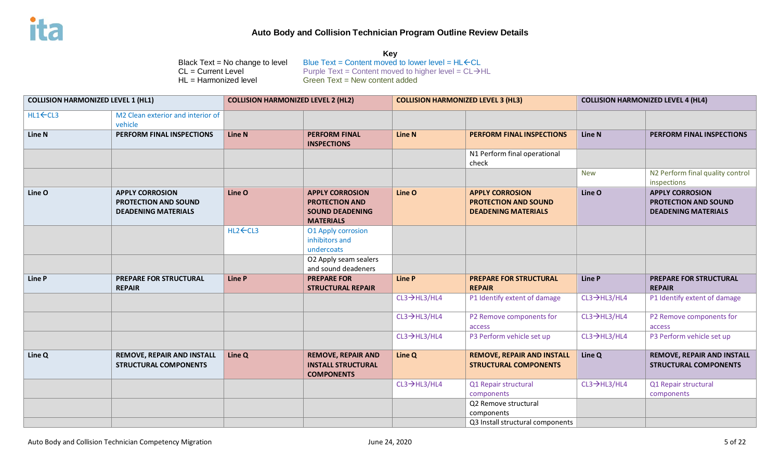| <b>COLLISION HARMONIZED LEVEL 1 (HL1)</b> |                                                                              | <b>COLLISION HARMONIZED LEVEL 2 (HL2)</b> |                                                                                                           | <b>COLLISION HARMONIZED LEVEL 3 (HL3)</b> |                                                                                     | <b>COLLISION HARMONIZED LEVEL 4 (HL4)</b> |                                                                                     |
|-------------------------------------------|------------------------------------------------------------------------------|-------------------------------------------|-----------------------------------------------------------------------------------------------------------|-------------------------------------------|-------------------------------------------------------------------------------------|-------------------------------------------|-------------------------------------------------------------------------------------|
| $HL1$ $\leftarrow$ $CL3$                  | M2 Clean exterior and interior of<br>vehicle                                 |                                           |                                                                                                           |                                           |                                                                                     |                                           |                                                                                     |
| Line N                                    | PERFORM FINAL INSPECTIONS                                                    | <b>Line N</b>                             | <b>PERFORM FINAL</b><br><b>INSPECTIONS</b>                                                                | <b>Line N</b>                             | PERFORM FINAL INSPECTIONS                                                           | Line N                                    | PERFORM FINAL INSPECTIONS                                                           |
|                                           |                                                                              |                                           |                                                                                                           |                                           | N1 Perform final operational<br>check                                               |                                           |                                                                                     |
|                                           |                                                                              |                                           |                                                                                                           |                                           |                                                                                     | <b>New</b>                                | N2 Perform final quality control<br>inspections                                     |
| Line O                                    | <b>APPLY CORROSION</b><br>PROTECTION AND SOUND<br><b>DEADENING MATERIALS</b> | Line O                                    | <b>APPLY CORROSION</b><br><b>PROTECTION AND</b><br><b>SOUND DEADENING</b><br><b>MATERIALS</b>             | Line O                                    | <b>APPLY CORROSION</b><br><b>PROTECTION AND SOUND</b><br><b>DEADENING MATERIALS</b> | Line O                                    | <b>APPLY CORROSION</b><br><b>PROTECTION AND SOUND</b><br><b>DEADENING MATERIALS</b> |
|                                           |                                                                              | HL2←CL3                                   | <b>01 Apply corrosion</b><br>inhibitors and<br>undercoats<br>O2 Apply seam sealers<br>and sound deadeners |                                           |                                                                                     |                                           |                                                                                     |
| Line P                                    | <b>PREPARE FOR STRUCTURAL</b><br><b>REPAIR</b>                               | <b>Line P</b>                             | <b>PREPARE FOR</b><br><b>STRUCTURAL REPAIR</b>                                                            | <b>Line P</b>                             | <b>PREPARE FOR STRUCTURAL</b><br><b>REPAIR</b>                                      | <b>Line P</b>                             | <b>PREPARE FOR STRUCTURAL</b><br><b>REPAIR</b>                                      |
|                                           |                                                                              |                                           |                                                                                                           | $CL3 \rightarrow HL3/HL4$                 | P1 Identify extent of damage                                                        | $CL3 \rightarrow HL3/HL4$                 | P1 Identify extent of damage                                                        |
|                                           |                                                                              |                                           |                                                                                                           | $CL3 \rightarrow HL3/HL4$                 | P2 Remove components for<br>access                                                  | $CL3 \rightarrow HL3/HL4$                 | P2 Remove components for<br>access                                                  |
|                                           |                                                                              |                                           |                                                                                                           | $CL3 \rightarrow HL3/HL4$                 | P3 Perform vehicle set up                                                           | $CL3 \rightarrow HL3/HL4$                 | P3 Perform vehicle set up                                                           |
| Line Q                                    | <b>REMOVE, REPAIR AND INSTALL</b><br><b>STRUCTURAL COMPONENTS</b>            | Line Q                                    | <b>REMOVE, REPAIR AND</b><br><b>INSTALL STRUCTURAL</b><br><b>COMPONENTS</b>                               | Line Q                                    | <b>REMOVE, REPAIR AND INSTALL</b><br><b>STRUCTURAL COMPONENTS</b>                   | Line Q                                    | REMOVE, REPAIR AND INSTALL<br><b>STRUCTURAL COMPONENTS</b>                          |
|                                           |                                                                              |                                           |                                                                                                           | $CL3 \rightarrow HL3/HL4$                 | Q1 Repair structural<br>components                                                  | $CL3 \rightarrow HL3/HL4$                 | Q1 Repair structural<br>components                                                  |
|                                           |                                                                              |                                           |                                                                                                           |                                           | Q2 Remove structural<br>components                                                  |                                           |                                                                                     |
|                                           |                                                                              |                                           |                                                                                                           |                                           | Q3 Install structural components                                                    |                                           |                                                                                     |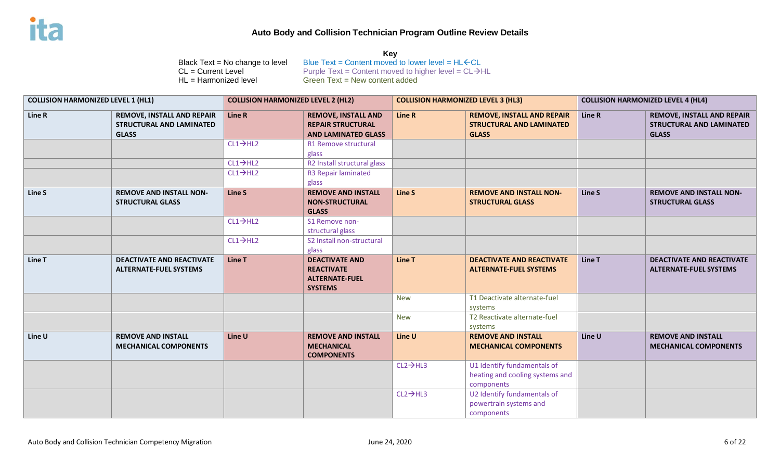| <b>COLLISION HARMONIZED LEVEL 1 (HL1)</b> |                                                                                      | <b>COLLISION HARMONIZED LEVEL 2 (HL2)</b> |                                                                                       | <b>COLLISION HARMONIZED LEVEL 3 (HL3)</b> |                                                                                      | <b>COLLISION HARMONIZED LEVEL 4 (HL4)</b> |                                                                               |
|-------------------------------------------|--------------------------------------------------------------------------------------|-------------------------------------------|---------------------------------------------------------------------------------------|-------------------------------------------|--------------------------------------------------------------------------------------|-------------------------------------------|-------------------------------------------------------------------------------|
| Line R                                    | <b>REMOVE, INSTALL AND REPAIR</b><br><b>STRUCTURAL AND LAMINATED</b><br><b>GLASS</b> | Line R                                    | <b>REMOVE, INSTALL AND</b><br><b>REPAIR STRUCTURAL</b><br><b>AND LAMINATED GLASS</b>  | Line R                                    | <b>REMOVE, INSTALL AND REPAIR</b><br><b>STRUCTURAL AND LAMINATED</b><br><b>GLASS</b> | Line R                                    | <b>REMOVE, INSTALL AND REPAIR</b><br>STRUCTURAL AND LAMINATED<br><b>GLASS</b> |
|                                           |                                                                                      | $CL1 \rightarrow HL2$                     | R1 Remove structural<br>glass                                                         |                                           |                                                                                      |                                           |                                                                               |
|                                           |                                                                                      | $CL1 \rightarrow HL2$                     | R2 Install structural glass                                                           |                                           |                                                                                      |                                           |                                                                               |
|                                           |                                                                                      | $CL1 \rightarrow HL2$                     | R3 Repair laminated<br>glass                                                          |                                           |                                                                                      |                                           |                                                                               |
| Line S                                    | <b>REMOVE AND INSTALL NON-</b><br><b>STRUCTURAL GLASS</b>                            | Line S                                    | <b>REMOVE AND INSTALL</b><br><b>NON-STRUCTURAL</b><br><b>GLASS</b>                    | <b>Line S</b>                             | <b>REMOVE AND INSTALL NON-</b><br><b>STRUCTURAL GLASS</b>                            | Line S                                    | <b>REMOVE AND INSTALL NON-</b><br><b>STRUCTURAL GLASS</b>                     |
|                                           |                                                                                      | $CL1 \rightarrow HL2$                     | S1 Remove non-<br>structural glass                                                    |                                           |                                                                                      |                                           |                                                                               |
|                                           |                                                                                      | $CL1 \rightarrow HL2$                     | S2 Install non-structural<br>glass                                                    |                                           |                                                                                      |                                           |                                                                               |
| Line T                                    | <b>DEACTIVATE AND REACTIVATE</b><br><b>ALTERNATE-FUEL SYSTEMS</b>                    | Line T                                    | <b>DEACTIVATE AND</b><br><b>REACTIVATE</b><br><b>ALTERNATE-FUEL</b><br><b>SYSTEMS</b> | Line T                                    | <b>DEACTIVATE AND REACTIVATE</b><br><b>ALTERNATE-FUEL SYSTEMS</b>                    | Line T                                    | <b>DEACTIVATE AND REACTIVATE</b><br><b>ALTERNATE-FUEL SYSTEMS</b>             |
|                                           |                                                                                      |                                           |                                                                                       | <b>New</b>                                | T1 Deactivate alternate-fuel<br>systems                                              |                                           |                                                                               |
|                                           |                                                                                      |                                           |                                                                                       | <b>New</b>                                | T2 Reactivate alternate-fuel<br>systems                                              |                                           |                                                                               |
| Line U                                    | <b>REMOVE AND INSTALL</b><br><b>MECHANICAL COMPONENTS</b>                            | Line U                                    | <b>REMOVE AND INSTALL</b><br><b>MECHANICAL</b><br><b>COMPONENTS</b>                   | Line U                                    | <b>REMOVE AND INSTALL</b><br><b>MECHANICAL COMPONENTS</b>                            | Line U                                    | <b>REMOVE AND INSTALL</b><br><b>MECHANICAL COMPONENTS</b>                     |
|                                           |                                                                                      |                                           |                                                                                       | $CL2 \rightarrow HL3$                     | U1 Identify fundamentals of<br>heating and cooling systems and<br>components         |                                           |                                                                               |
|                                           |                                                                                      |                                           |                                                                                       | $CL2 \rightarrow HL3$                     | U2 Identify fundamentals of<br>powertrain systems and<br>components                  |                                           |                                                                               |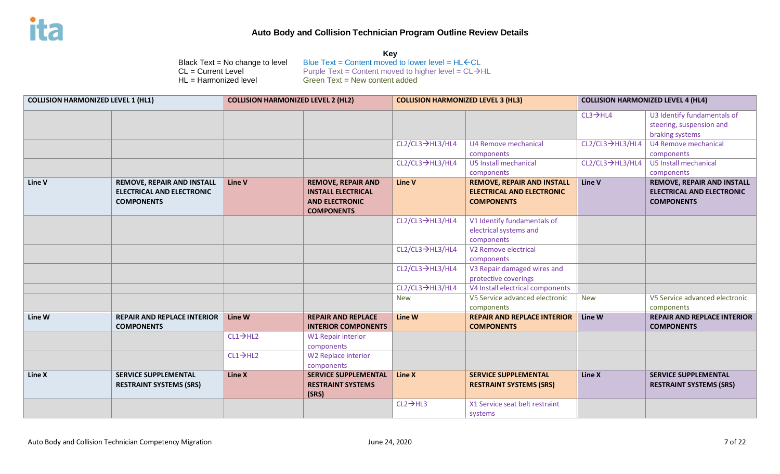| <b>COLLISION HARMONIZED LEVEL 1 (HL1)</b> |                                                                                            | <b>COLLISION HARMONIZED LEVEL 2 (HL2)</b> |                                                                                                      | <b>COLLISION HARMONIZED LEVEL 3 (HL3)</b> |                                                                                            | <b>COLLISION HARMONIZED LEVEL 4 (HL4)</b> |                                                                                     |
|-------------------------------------------|--------------------------------------------------------------------------------------------|-------------------------------------------|------------------------------------------------------------------------------------------------------|-------------------------------------------|--------------------------------------------------------------------------------------------|-------------------------------------------|-------------------------------------------------------------------------------------|
|                                           |                                                                                            |                                           |                                                                                                      |                                           |                                                                                            | $CL3 \rightarrow HLA$                     | U3 Identify fundamentals of<br>steering, suspension and<br>braking systems          |
|                                           |                                                                                            |                                           |                                                                                                      | CL2/CL3→HL3/HL4                           | U4 Remove mechanical<br>components                                                         | $CL2/CL3 \rightarrow HL3/HL4$             | U4 Remove mechanical<br>components                                                  |
|                                           |                                                                                            |                                           |                                                                                                      | $CL2/CL3 \rightarrow HL3/HL4$             | U5 Install mechanical<br>components                                                        | $CL2/CL3 \rightarrow HL3/HL4$             | U5 Install mechanical<br>components                                                 |
| Line V                                    | <b>REMOVE, REPAIR AND INSTALL</b><br><b>ELECTRICAL AND ELECTRONIC</b><br><b>COMPONENTS</b> | Line V                                    | <b>REMOVE, REPAIR AND</b><br><b>INSTALL ELECTRICAL</b><br><b>AND ELECTRONIC</b><br><b>COMPONENTS</b> | <b>Line V</b>                             | <b>REMOVE, REPAIR AND INSTALL</b><br><b>ELECTRICAL AND ELECTRONIC</b><br><b>COMPONENTS</b> | Line V                                    | <b>REMOVE, REPAIR AND INSTALL</b><br>ELECTRICAL AND ELECTRONIC<br><b>COMPONENTS</b> |
|                                           |                                                                                            |                                           |                                                                                                      | CL2/CL3→HL3/HL4                           | V1 Identify fundamentals of<br>electrical systems and<br>components                        |                                           |                                                                                     |
|                                           |                                                                                            |                                           |                                                                                                      | CL2/CL3→HL3/HL4                           | V <sub>2</sub> Remove electrical<br>components                                             |                                           |                                                                                     |
|                                           |                                                                                            |                                           |                                                                                                      | $CL2/CL3 \rightarrow HL3/HL4$             | V3 Repair damaged wires and<br>protective coverings                                        |                                           |                                                                                     |
|                                           |                                                                                            |                                           |                                                                                                      | CL2/CL3→HL3/HL4                           | V4 Install electrical components                                                           |                                           |                                                                                     |
|                                           |                                                                                            |                                           |                                                                                                      | <b>New</b>                                | V5 Service advanced electronic<br>components                                               | <b>New</b>                                | V5 Service advanced electronic<br>components                                        |
| Line W                                    | <b>REPAIR AND REPLACE INTERIOR</b><br><b>COMPONENTS</b>                                    | Line W                                    | <b>REPAIR AND REPLACE</b><br><b>INTERIOR COMPONENTS</b>                                              | Line W                                    | <b>REPAIR AND REPLACE INTERIOR</b><br><b>COMPONENTS</b>                                    | Line W                                    | <b>REPAIR AND REPLACE INTERIOR</b><br><b>COMPONENTS</b>                             |
|                                           |                                                                                            | $CL1 \rightarrow H12$                     | <b>W1 Repair interior</b><br>components                                                              |                                           |                                                                                            |                                           |                                                                                     |
|                                           |                                                                                            | $CL1 \rightarrow H12$                     | W2 Replace interior<br>components                                                                    |                                           |                                                                                            |                                           |                                                                                     |
| Line X                                    | <b>SERVICE SUPPLEMENTAL</b><br><b>RESTRAINT SYSTEMS (SRS)</b>                              | Line X                                    | <b>SERVICE SUPPLEMENTAL</b><br><b>RESTRAINT SYSTEMS</b><br>(SRS)                                     | Line X                                    | <b>SERVICE SUPPLEMENTAL</b><br><b>RESTRAINT SYSTEMS (SRS)</b>                              | Line X                                    | <b>SERVICE SUPPLEMENTAL</b><br><b>RESTRAINT SYSTEMS (SRS)</b>                       |
|                                           |                                                                                            |                                           |                                                                                                      | $CL2 \rightarrow HL3$                     | X1 Service seat belt restraint<br>systems                                                  |                                           |                                                                                     |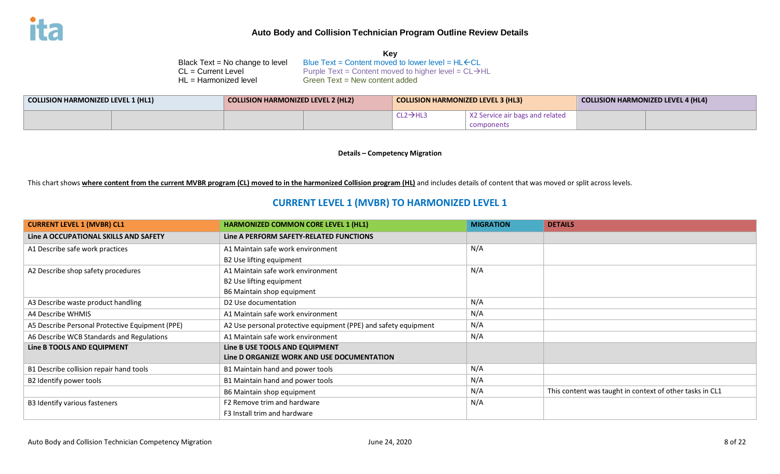| Kev                                                               |
|-------------------------------------------------------------------|
| Blue Text = Content moved to lower level = $HL$ $\leftarrow$ CL   |
| Purple Text = Content moved to higher level = $CL \rightarrow HL$ |
| Green $Text = New content added$                                  |
|                                                                   |

| COLLISION HARMONIZED LEVEL 1 (HL1) |  | <b>COLLISION HARMONIZED LEVEL 2 (HL2)</b> |  | COLLISION HARMONIZED LEVEL 3 (HL3) |                                 | <b>COLLISION HARMONIZED LEVEL 4 (HL4)</b> |  |
|------------------------------------|--|-------------------------------------------|--|------------------------------------|---------------------------------|-------------------------------------------|--|
|                                    |  |                                           |  | $CL2 \rightarrow H1$ ?             | X2 Service air bags and related |                                           |  |
|                                    |  |                                           |  |                                    | components                      |                                           |  |

**Details – Competency Migration**

This chart shows **where content from the current MVBR program (CL) moved to in the harmonized Collision program (HL)** and includes details of content that was moved or split across levels.

# **CURRENT LEVEL 1 (MVBR) TO HARMONIZED LEVEL 1**

| <b>CURRENT LEVEL 1 (MVBR) CL1</b>               | <b>HARMONIZED COMMON CORE LEVEL 1 (HL1)</b>                     | <b>MIGRATION</b> | <b>DETAILS</b>                                           |
|-------------------------------------------------|-----------------------------------------------------------------|------------------|----------------------------------------------------------|
| Line A OCCUPATIONAL SKILLS AND SAFETY           | Line A PERFORM SAFETY-RELATED FUNCTIONS                         |                  |                                                          |
| A1 Describe safe work practices                 | A1 Maintain safe work environment                               | N/A              |                                                          |
|                                                 | B2 Use lifting equipment                                        |                  |                                                          |
| A2 Describe shop safety procedures              | A1 Maintain safe work environment                               | N/A              |                                                          |
|                                                 | B2 Use lifting equipment                                        |                  |                                                          |
|                                                 | B6 Maintain shop equipment                                      |                  |                                                          |
| A3 Describe waste product handling              | D <sub>2</sub> Use documentation                                | N/A              |                                                          |
| A4 Describe WHMIS                               | A1 Maintain safe work environment                               | N/A              |                                                          |
| A5 Describe Personal Protective Equipment (PPE) | A2 Use personal protective equipment (PPE) and safety equipment | N/A              |                                                          |
| A6 Describe WCB Standards and Regulations       | A1 Maintain safe work environment                               | N/A              |                                                          |
| Line B TOOLS AND EQUIPMENT                      | Line B USE TOOLS AND EQUIPMENT                                  |                  |                                                          |
|                                                 | Line D ORGANIZE WORK AND USE DOCUMENTATION                      |                  |                                                          |
| B1 Describe collision repair hand tools         | B1 Maintain hand and power tools                                | N/A              |                                                          |
| B2 Identify power tools                         | B1 Maintain hand and power tools                                | N/A              |                                                          |
|                                                 | B6 Maintain shop equipment                                      | N/A              | This content was taught in context of other tasks in CL1 |
| B3 Identify various fasteners                   | F <sub>2</sub> Remove trim and hardware                         | N/A              |                                                          |
|                                                 | F3 Install trim and hardware                                    |                  |                                                          |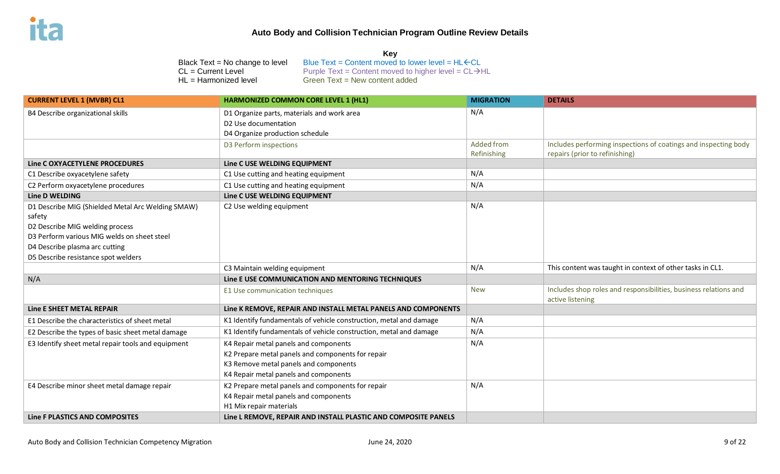#### **Key**

| <b>CURRENT LEVEL 1 (MVBR) CL1</b>                  | HARMONIZED COMMON CORE LEVEL 1 (HL1)                               | <b>MIGRATION</b>  | <b>DETAILS</b>                                                                       |
|----------------------------------------------------|--------------------------------------------------------------------|-------------------|--------------------------------------------------------------------------------------|
| B4 Describe organizational skills                  | D1 Organize parts, materials and work area                         | N/A               |                                                                                      |
|                                                    | D2 Use documentation                                               |                   |                                                                                      |
|                                                    | D4 Organize production schedule                                    |                   |                                                                                      |
|                                                    | D3 Perform inspections                                             | <b>Added from</b> | Includes performing inspections of coatings and inspecting body                      |
|                                                    |                                                                    | Refinishing       | repairs (prior to refinishing)                                                       |
| Line C OXYACETYLENE PROCEDURES                     | Line C USE WELDING EQUIPMENT                                       |                   |                                                                                      |
| C1 Describe oxyacetylene safety                    | C1 Use cutting and heating equipment                               | N/A               |                                                                                      |
| C2 Perform oxyacetylene procedures                 | C1 Use cutting and heating equipment                               | N/A               |                                                                                      |
| Line D WELDING                                     | Line C USE WELDING EQUIPMENT                                       |                   |                                                                                      |
| D1 Describe MIG (Shielded Metal Arc Welding SMAW)  | C2 Use welding equipment                                           | N/A               |                                                                                      |
| safety                                             |                                                                    |                   |                                                                                      |
| D2 Describe MIG welding process                    |                                                                    |                   |                                                                                      |
| D3 Perform various MIG welds on sheet steel        |                                                                    |                   |                                                                                      |
| D4 Describe plasma arc cutting                     |                                                                    |                   |                                                                                      |
| D5 Describe resistance spot welders                |                                                                    |                   |                                                                                      |
|                                                    | C3 Maintain welding equipment                                      | N/A               | This content was taught in context of other tasks in CL1.                            |
| N/A                                                | Line E USE COMMUNICATION AND MENTORING TECHNIQUES                  |                   |                                                                                      |
|                                                    | E1 Use communication techniques                                    | <b>New</b>        | Includes shop roles and responsibilities, business relations and<br>active listening |
| Line E SHEET METAL REPAIR                          | Line K REMOVE, REPAIR AND INSTALL METAL PANELS AND COMPONENTS      |                   |                                                                                      |
| E1 Describe the characteristics of sheet metal     | K1 Identify fundamentals of vehicle construction, metal and damage | N/A               |                                                                                      |
| E2 Describe the types of basic sheet metal damage  | K1 Identify fundamentals of vehicle construction, metal and damage | N/A               |                                                                                      |
| E3 Identify sheet metal repair tools and equipment | K4 Repair metal panels and components                              | N/A               |                                                                                      |
|                                                    | K2 Prepare metal panels and components for repair                  |                   |                                                                                      |
|                                                    | K3 Remove metal panels and components                              |                   |                                                                                      |
|                                                    | K4 Repair metal panels and components                              |                   |                                                                                      |
| E4 Describe minor sheet metal damage repair        | K2 Prepare metal panels and components for repair                  | N/A               |                                                                                      |
|                                                    | K4 Repair metal panels and components                              |                   |                                                                                      |
|                                                    | H1 Mix repair materials                                            |                   |                                                                                      |
| Line F PLASTICS AND COMPOSITES                     | Line L REMOVE, REPAIR AND INSTALL PLASTIC AND COMPOSITE PANELS     |                   |                                                                                      |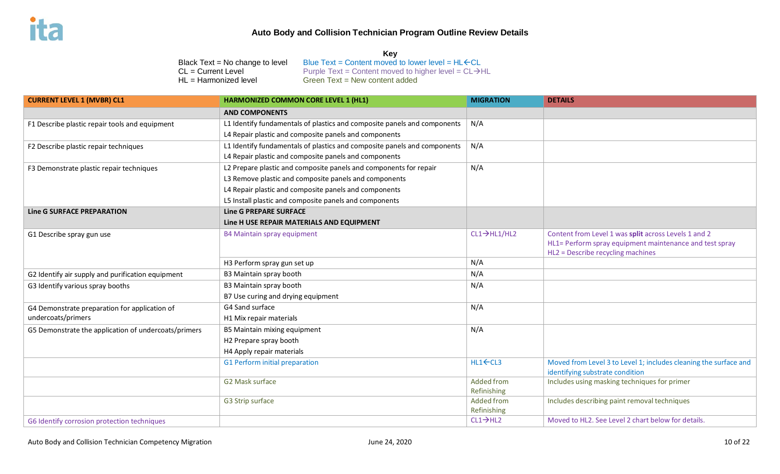#### **Key**

| <b>CURRENT LEVEL 1 (MVBR) CL1</b>                    | <b>HARMONIZED COMMON CORE LEVEL 1 (HL1)</b>                              | <b>MIGRATION</b>          | <b>DETAILS</b>                                                                                                                                       |
|------------------------------------------------------|--------------------------------------------------------------------------|---------------------------|------------------------------------------------------------------------------------------------------------------------------------------------------|
|                                                      | <b>AND COMPONENTS</b>                                                    |                           |                                                                                                                                                      |
| F1 Describe plastic repair tools and equipment       | L1 Identify fundamentals of plastics and composite panels and components | N/A                       |                                                                                                                                                      |
|                                                      | L4 Repair plastic and composite panels and components                    |                           |                                                                                                                                                      |
| F2 Describe plastic repair techniques                | L1 Identify fundamentals of plastics and composite panels and components | N/A                       |                                                                                                                                                      |
|                                                      | L4 Repair plastic and composite panels and components                    |                           |                                                                                                                                                      |
| F3 Demonstrate plastic repair techniques             | L2 Prepare plastic and composite panels and components for repair        | N/A                       |                                                                                                                                                      |
|                                                      | L3 Remove plastic and composite panels and components                    |                           |                                                                                                                                                      |
|                                                      | L4 Repair plastic and composite panels and components                    |                           |                                                                                                                                                      |
|                                                      | L5 Install plastic and composite panels and components                   |                           |                                                                                                                                                      |
| <b>Line G SURFACE PREPARATION</b>                    | <b>Line G PREPARE SURFACE</b>                                            |                           |                                                                                                                                                      |
|                                                      | Line H USE REPAIR MATERIALS AND EQUIPMENT                                |                           |                                                                                                                                                      |
| G1 Describe spray gun use                            | B4 Maintain spray equipment                                              | $CL1 \rightarrow HLI/HL2$ | Content from Level 1 was split across Levels 1 and 2<br>HL1= Perform spray equipment maintenance and test spray<br>HL2 = Describe recycling machines |
|                                                      | H3 Perform spray gun set up                                              | N/A                       |                                                                                                                                                      |
| G2 Identify air supply and purification equipment    | B3 Maintain spray booth                                                  | N/A                       |                                                                                                                                                      |
| G3 Identify various spray booths                     | B3 Maintain spray booth                                                  | N/A                       |                                                                                                                                                      |
|                                                      | B7 Use curing and drying equipment                                       |                           |                                                                                                                                                      |
| G4 Demonstrate preparation for application of        | G4 Sand surface                                                          | N/A                       |                                                                                                                                                      |
| undercoats/primers                                   | H1 Mix repair materials                                                  |                           |                                                                                                                                                      |
| G5 Demonstrate the application of undercoats/primers | B5 Maintain mixing equipment                                             | N/A                       |                                                                                                                                                      |
|                                                      | H2 Prepare spray booth                                                   |                           |                                                                                                                                                      |
|                                                      | H4 Apply repair materials                                                |                           |                                                                                                                                                      |
|                                                      | G1 Perform initial preparation                                           | HL1←CL3                   | Moved from Level 3 to Level 1; includes cleaning the surface and<br>identifying substrate condition                                                  |
|                                                      | G2 Mask surface                                                          | Added from                | Includes using masking techniques for primer                                                                                                         |
|                                                      |                                                                          | Refinishing               |                                                                                                                                                      |
|                                                      | G3 Strip surface                                                         | Added from                | Includes describing paint removal techniques                                                                                                         |
|                                                      |                                                                          | Refinishing               |                                                                                                                                                      |
| G6 Identify corrosion protection techniques          |                                                                          | $CL1 \rightarrow HL2$     | Moved to HL2. See Level 2 chart below for details.                                                                                                   |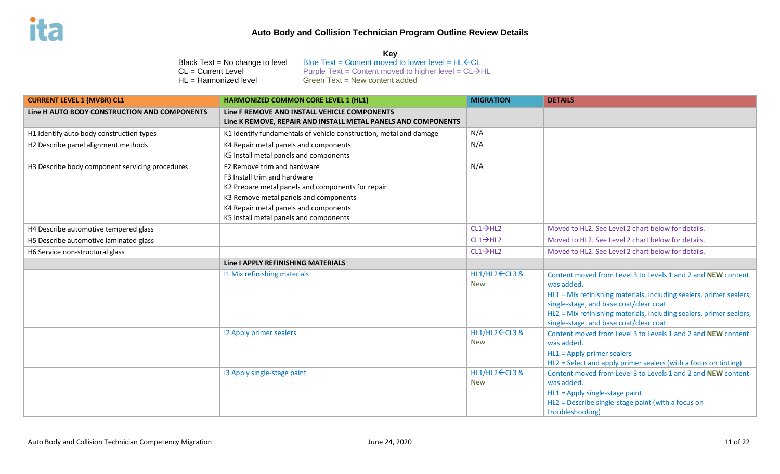#### **Key**

| <b>CURRENT LEVEL 1 (MVBR) CL1</b>               | <b>HARMONIZED COMMON CORE LEVEL 1 (HL1)</b>                                                                   | <b>MIGRATION</b>              | <b>DETAILS</b>                                                                                                                                                                                                                                                                                               |
|-------------------------------------------------|---------------------------------------------------------------------------------------------------------------|-------------------------------|--------------------------------------------------------------------------------------------------------------------------------------------------------------------------------------------------------------------------------------------------------------------------------------------------------------|
| Line H AUTO BODY CONSTRUCTION AND COMPONENTS    | Line F REMOVE AND INSTALL VEHICLE COMPONENTS<br>Line K REMOVE, REPAIR AND INSTALL METAL PANELS AND COMPONENTS |                               |                                                                                                                                                                                                                                                                                                              |
| H1 Identify auto body construction types        | K1 Identify fundamentals of vehicle construction, metal and damage                                            | N/A                           |                                                                                                                                                                                                                                                                                                              |
| H2 Describe panel alignment methods             | K4 Repair metal panels and components                                                                         | N/A                           |                                                                                                                                                                                                                                                                                                              |
|                                                 | K5 Install metal panels and components                                                                        |                               |                                                                                                                                                                                                                                                                                                              |
| H3 Describe body component servicing procedures | F2 Remove trim and hardware                                                                                   | N/A                           |                                                                                                                                                                                                                                                                                                              |
|                                                 | F3 Install trim and hardware                                                                                  |                               |                                                                                                                                                                                                                                                                                                              |
|                                                 | K2 Prepare metal panels and components for repair                                                             |                               |                                                                                                                                                                                                                                                                                                              |
|                                                 | K3 Remove metal panels and components                                                                         |                               |                                                                                                                                                                                                                                                                                                              |
|                                                 | K4 Repair metal panels and components                                                                         |                               |                                                                                                                                                                                                                                                                                                              |
|                                                 | K5 Install metal panels and components                                                                        |                               |                                                                                                                                                                                                                                                                                                              |
| H4 Describe automotive tempered glass           |                                                                                                               | $CL1 \rightarrow HL2$         | Moved to HL2. See Level 2 chart below for details.                                                                                                                                                                                                                                                           |
| H5 Describe automotive laminated glass          |                                                                                                               | $CL1 \rightarrow HL2$         | Moved to HL2. See Level 2 chart below for details.                                                                                                                                                                                                                                                           |
| H6 Service non-structural glass                 |                                                                                                               | $CL1 \rightarrow HL2$         | Moved to HL2. See Level 2 chart below for details.                                                                                                                                                                                                                                                           |
|                                                 | Line I APPLY REFINISHING MATERIALS                                                                            |                               |                                                                                                                                                                                                                                                                                                              |
|                                                 | 11 Mix refinishing materials                                                                                  | HL1/HL2 ← CL3 &<br><b>New</b> | Content moved from Level 3 to Levels 1 and 2 and NEW content<br>was added.<br>HL1 = Mix refinishing materials, including sealers, primer sealers,<br>single-stage, and base coat/clear coat<br>HL2 = Mix refinishing materials, including sealers, primer sealers,<br>single-stage, and base coat/clear coat |
|                                                 | 12 Apply primer sealers                                                                                       | HL1/HL2 ← CL3 &<br><b>New</b> | Content moved from Level 3 to Levels 1 and 2 and NEW content<br>was added.<br>$HL1 = Apply$ primer sealers<br>HL2 = Select and apply primer sealers (with a focus on tinting)                                                                                                                                |
|                                                 | 13 Apply single-stage paint                                                                                   | HL1/HL2 ← CL3 &<br><b>New</b> | Content moved from Level 3 to Levels 1 and 2 and NEW content<br>was added.<br>HL1 = Apply single-stage paint<br>HL2 = Describe single-stage paint (with a focus on<br>troubleshooting)                                                                                                                       |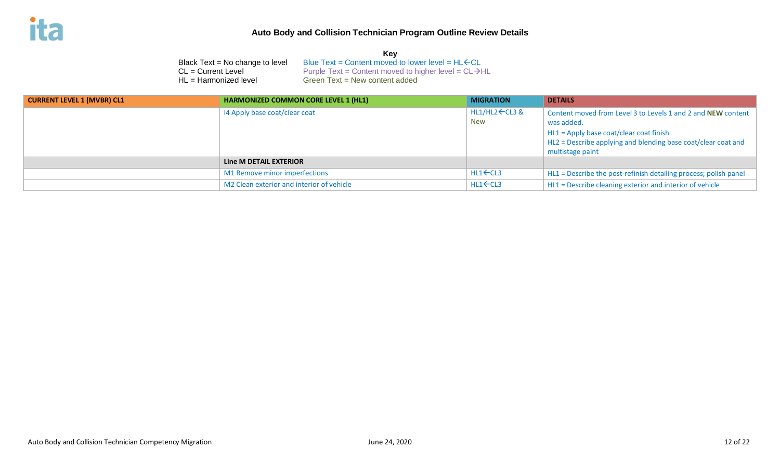|                                   | Key                                                               |
|-----------------------------------|-------------------------------------------------------------------|
| Black $Text = No change to level$ | Blue Text = Content moved to lower level = $HL$ $\leftarrow$ CL   |
| $CL = Current Level$              | Purple Text = Content moved to higher level = $CL \rightarrow HL$ |
| $HL = Harmonized level$           | Green $Text = New content added$                                  |

| <b>CURRENT LEVEL 1 (MVBR) CL1</b> | <b>HARMONIZED COMMON CORE LEVEL 1 (HL1)</b> | <b>MIGRATION</b>              | <b>DETAILS</b>                                                                                                                                                                                             |
|-----------------------------------|---------------------------------------------|-------------------------------|------------------------------------------------------------------------------------------------------------------------------------------------------------------------------------------------------------|
|                                   | I4 Apply base coat/clear coat               | HL1/HL2 ← CL3 &<br><b>New</b> | Content moved from Level 3 to Levels 1 and 2 and NEW content<br>was added.<br>HL1 = Apply base coat/clear coat finish<br>HL2 = Describe applying and blending base coat/clear coat and<br>multistage paint |
|                                   | Line M DETAIL EXTERIOR                      |                               |                                                                                                                                                                                                            |
|                                   | M1 Remove minor imperfections               | $HL1$ $\leftarrow$ $CL3$      | HL1 = Describe the post-refinish detailing process; polish panel                                                                                                                                           |
|                                   | M2 Clean exterior and interior of vehicle   | $HL1$ $\leftarrow$ $CL3$      | HL1 = Describe cleaning exterior and interior of vehicle                                                                                                                                                   |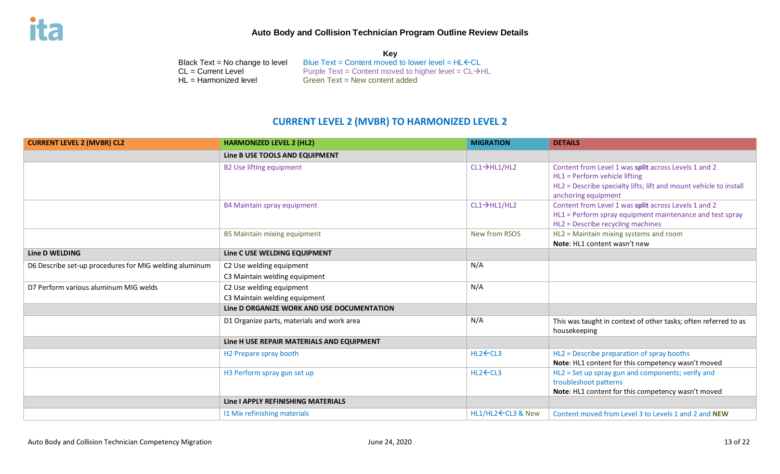**Key** Black Text = No change to level Blue Text = Content moved to lower level =  $HL$   $\leftarrow$  CL = Current Level = CL  $\rightarrow$  Purple Text = Content moved to higher level = CL  $\rightarrow$  F  $CL = Current Level$ <br>  $HL = Harmonized level$  Purple Text = Content moved to higher level = CL $\rightarrow$ HL<br>
Green Text = New content added Green Text = New content added

# **CURRENT LEVEL 2 (MVBR) TO HARMONIZED LEVEL 2**

| <b>CURRENT LEVEL 2 (MVBR) CL2</b>                      | <b>HARMONIZED LEVEL 2 (HL2)</b>                           | <b>MIGRATION</b>          | <b>DETAILS</b>                                                                                                                                                                    |
|--------------------------------------------------------|-----------------------------------------------------------|---------------------------|-----------------------------------------------------------------------------------------------------------------------------------------------------------------------------------|
|                                                        | Line B USE TOOLS AND EQUIPMENT                            |                           |                                                                                                                                                                                   |
|                                                        | <b>B2 Use lifting equipment</b>                           | $CL1 \rightarrow HLI/HL2$ | Content from Level 1 was split across Levels 1 and 2<br>HL1 = Perform vehicle lifting<br>HL2 = Describe specialty lifts; lift and mount vehicle to install<br>anchoring equipment |
|                                                        | B4 Maintain spray equipment                               | $CL1 \rightarrow HLI/HL2$ | Content from Level 1 was split across Levels 1 and 2<br>HL1 = Perform spray equipment maintenance and test spray<br>HL2 = Describe recycling machines                             |
|                                                        | <b>B5 Maintain mixing equipment</b>                       | New from RSOS             | HL2 = Maintain mixing systems and room<br>Note: HL1 content wasn't new                                                                                                            |
| <b>Line D WELDING</b>                                  | Line C USE WELDING EQUIPMENT                              |                           |                                                                                                                                                                                   |
| D6 Describe set-up procedures for MIG welding aluminum | C2 Use welding equipment<br>C3 Maintain welding equipment | N/A                       |                                                                                                                                                                                   |
| D7 Perform various aluminum MIG welds                  | C2 Use welding equipment<br>C3 Maintain welding equipment | N/A                       |                                                                                                                                                                                   |
|                                                        | Line D ORGANIZE WORK AND USE DOCUMENTATION                |                           |                                                                                                                                                                                   |
|                                                        | D1 Organize parts, materials and work area                | N/A                       | This was taught in context of other tasks; often referred to as<br>housekeeping                                                                                                   |
|                                                        | Line H USE REPAIR MATERIALS AND EQUIPMENT                 |                           |                                                                                                                                                                                   |
|                                                        | H2 Prepare spray booth                                    | $HL2$ $\leftarrow$ $CL3$  | HL2 = Describe preparation of spray booths<br>Note: HL1 content for this competency wasn't moved                                                                                  |
|                                                        | H3 Perform spray gun set up                               | $HL2$ $\leftarrow$ CL3    | HL2 = Set up spray gun and components; verify and<br>troubleshoot patterns<br>Note: HL1 content for this competency wasn't moved                                                  |
|                                                        | Line I APPLY REFINISHING MATERIALS                        |                           |                                                                                                                                                                                   |
|                                                        | 11 Mix refinishing materials                              | HL1/HL2 ← CL3 & New       | Content moved from Level 3 to Levels 1 and 2 and NEW                                                                                                                              |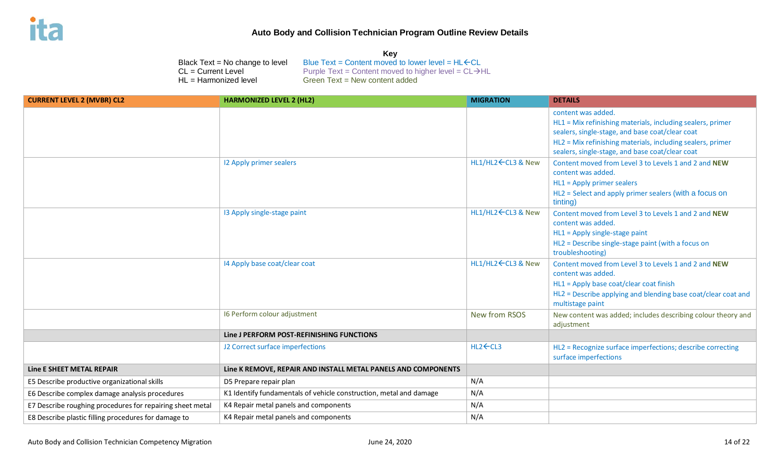**Key**

| $CL = Current Level$                                      | Blue Text = Content moved to lower level = $HL$ $CL$<br>Black $Text = No change to level$<br>Purple Text = Content moved to higher level = $CL \rightarrow HL$<br>HL = Harmonized level<br>Green Text = New content added |                     |                                                                                                                                                                                                                                                      |
|-----------------------------------------------------------|---------------------------------------------------------------------------------------------------------------------------------------------------------------------------------------------------------------------------|---------------------|------------------------------------------------------------------------------------------------------------------------------------------------------------------------------------------------------------------------------------------------------|
| <b>CURRENT LEVEL 2 (MVBR) CL2</b>                         | <b>HARMONIZED LEVEL 2 (HL2)</b>                                                                                                                                                                                           | <b>MIGRATION</b>    | <b>DETAILS</b>                                                                                                                                                                                                                                       |
|                                                           |                                                                                                                                                                                                                           |                     | content was added.<br>HL1 = Mix refinishing materials, including sealers, primer<br>sealers, single-stage, and base coat/clear coat<br>HL2 = Mix refinishing materials, including sealers, primer<br>sealers, single-stage, and base coat/clear coat |
|                                                           | 12 Apply primer sealers                                                                                                                                                                                                   | HL1/HL2 ← CL3 & New | Content moved from Level 3 to Levels 1 and 2 and NEW<br>content was added.<br>HL1 = Apply primer sealers<br>HL2 = Select and apply primer sealers (with a focus on<br>tinting)                                                                       |
|                                                           | 13 Apply single-stage paint                                                                                                                                                                                               | HL1/HL2 ← CL3 & New | Content moved from Level 3 to Levels 1 and 2 and NEW<br>content was added.<br>HL1 = Apply single-stage paint<br>HL2 = Describe single-stage paint (with a focus on<br>troubleshooting)                                                               |
|                                                           | I4 Apply base coat/clear coat                                                                                                                                                                                             | HL1/HL2 ← CL3 & New | Content moved from Level 3 to Levels 1 and 2 and NEW<br>content was added.<br>HL1 = Apply base coat/clear coat finish<br>HL2 = Describe applying and blending base coat/clear coat and<br>multistage paint                                           |
|                                                           | 16 Perform colour adjustment                                                                                                                                                                                              | New from RSOS       | New content was added; includes describing colour theory and<br>adjustment                                                                                                                                                                           |
|                                                           | Line J PERFORM POST-REFINISHING FUNCTIONS                                                                                                                                                                                 |                     |                                                                                                                                                                                                                                                      |
|                                                           | J2 Correct surface imperfections                                                                                                                                                                                          | HL2 ← CL3           | HL2 = Recognize surface imperfections; describe correcting<br>surface imperfections                                                                                                                                                                  |
| Line E SHEET METAL REPAIR                                 | Line K REMOVE, REPAIR AND INSTALL METAL PANELS AND COMPONENTS                                                                                                                                                             |                     |                                                                                                                                                                                                                                                      |
| E5 Describe productive organizational skills              | D5 Prepare repair plan                                                                                                                                                                                                    | N/A                 |                                                                                                                                                                                                                                                      |
| E6 Describe complex damage analysis procedures            | K1 Identify fundamentals of vehicle construction, metal and damage                                                                                                                                                        | N/A                 |                                                                                                                                                                                                                                                      |
| E7 Describe roughing procedures for repairing sheet metal | K4 Repair metal panels and components                                                                                                                                                                                     | N/A                 |                                                                                                                                                                                                                                                      |
| E8 Describe plastic filling procedures for damage to      | K4 Repair metal panels and components                                                                                                                                                                                     | N/A                 |                                                                                                                                                                                                                                                      |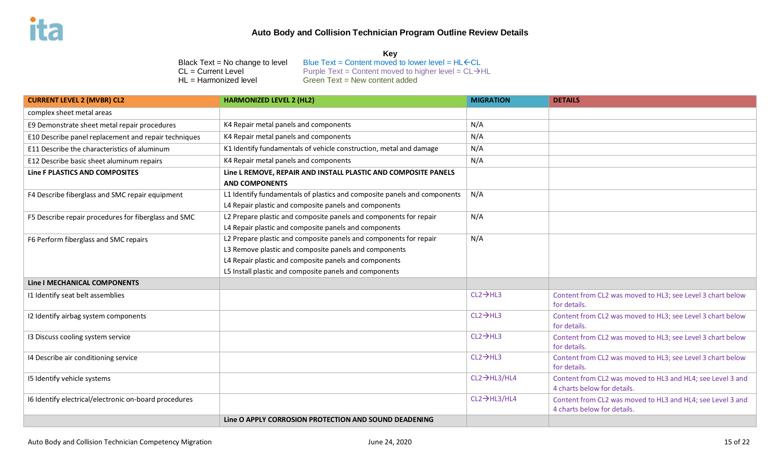#### **Key**

HL = Harmonized level Green Text = New content added

Black Text = No change to level Blue Text = Content moved to lower level =  $HL$   $CL$ **CL** = **Current Level** Purple Text = Content moved to higher level =  $CL \rightarrow HL$ 

| <b>CURRENT LEVEL 2 (MVBR) CL2</b>                     | <b>HARMONIZED LEVEL 2 (HL2)</b>                                                                                                                                                                                                               | <b>MIGRATION</b>          | <b>DETAILS</b>                                                                            |
|-------------------------------------------------------|-----------------------------------------------------------------------------------------------------------------------------------------------------------------------------------------------------------------------------------------------|---------------------------|-------------------------------------------------------------------------------------------|
| complex sheet metal areas                             |                                                                                                                                                                                                                                               |                           |                                                                                           |
| E9 Demonstrate sheet metal repair procedures          | K4 Repair metal panels and components                                                                                                                                                                                                         | N/A                       |                                                                                           |
| E10 Describe panel replacement and repair techniques  | K4 Repair metal panels and components                                                                                                                                                                                                         | N/A                       |                                                                                           |
| E11 Describe the characteristics of aluminum          | K1 Identify fundamentals of vehicle construction, metal and damage                                                                                                                                                                            | N/A                       |                                                                                           |
| E12 Describe basic sheet aluminum repairs             | K4 Repair metal panels and components                                                                                                                                                                                                         | N/A                       |                                                                                           |
| Line F PLASTICS AND COMPOSITES                        | Line L REMOVE, REPAIR AND INSTALL PLASTIC AND COMPOSITE PANELS<br><b>AND COMPONENTS</b>                                                                                                                                                       |                           |                                                                                           |
| F4 Describe fiberglass and SMC repair equipment       | L1 Identify fundamentals of plastics and composite panels and components<br>L4 Repair plastic and composite panels and components                                                                                                             | N/A                       |                                                                                           |
| F5 Describe repair procedures for fiberglass and SMC  | L2 Prepare plastic and composite panels and components for repair<br>L4 Repair plastic and composite panels and components                                                                                                                    | N/A                       |                                                                                           |
| F6 Perform fiberglass and SMC repairs                 | L2 Prepare plastic and composite panels and components for repair<br>L3 Remove plastic and composite panels and components<br>L4 Repair plastic and composite panels and components<br>L5 Install plastic and composite panels and components | N/A                       |                                                                                           |
| Line   MECHANICAL COMPONENTS                          |                                                                                                                                                                                                                                               |                           |                                                                                           |
| I1 Identify seat belt assemblies                      |                                                                                                                                                                                                                                               | $CL2 \rightarrow HL3$     | Content from CL2 was moved to HL3; see Level 3 chart below<br>for details.                |
| I2 Identify airbag system components                  |                                                                                                                                                                                                                                               | $CL2 \rightarrow HL3$     | Content from CL2 was moved to HL3; see Level 3 chart below<br>for details.                |
| 13 Discuss cooling system service                     |                                                                                                                                                                                                                                               | $CL2 \rightarrow HL3$     | Content from CL2 was moved to HL3; see Level 3 chart below<br>for details.                |
| 14 Describe air conditioning service                  |                                                                                                                                                                                                                                               | $CL2 \rightarrow HL3$     | Content from CL2 was moved to HL3; see Level 3 chart below<br>for details.                |
| I5 Identify vehicle systems                           |                                                                                                                                                                                                                                               | $CL2 \rightarrow HL3/HL4$ | Content from CL2 was moved to HL3 and HL4; see Level 3 and<br>4 charts below for details. |
| I6 Identify electrical/electronic on-board procedures |                                                                                                                                                                                                                                               | $CL2 \rightarrow HL3/HL4$ | Content from CL2 was moved to HL3 and HL4; see Level 3 and<br>4 charts below for details. |
|                                                       | Line O APPLY CORROSION PROTECTION AND SOUND DEADENING                                                                                                                                                                                         |                           |                                                                                           |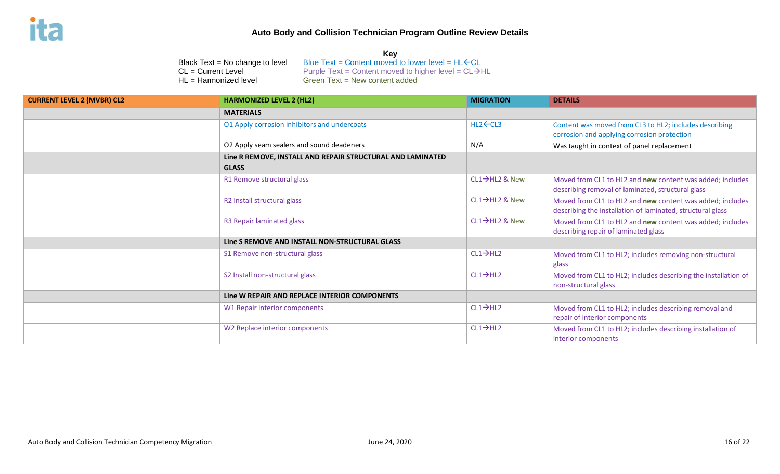| <b>CURRENT LEVEL 2 (MVBR) CL2</b> | <b>HARMONIZED LEVEL 2 (HL2)</b>                            | <b>MIGRATION</b>            | <b>DETAILS</b>                                                                                                          |
|-----------------------------------|------------------------------------------------------------|-----------------------------|-------------------------------------------------------------------------------------------------------------------------|
|                                   | <b>MATERIALS</b>                                           |                             |                                                                                                                         |
|                                   | O1 Apply corrosion inhibitors and undercoats               | $HL2$ $\leftarrow$ CL3      | Content was moved from CL3 to HL2; includes describing<br>corrosion and applying corrosion protection                   |
|                                   | O2 Apply seam sealers and sound deadeners                  | N/A                         | Was taught in context of panel replacement                                                                              |
|                                   | Line R REMOVE, INSTALL AND REPAIR STRUCTURAL AND LAMINATED |                             |                                                                                                                         |
|                                   | <b>GLASS</b>                                               |                             |                                                                                                                         |
|                                   | R1 Remove structural glass                                 | CL1→HL2 & New               | Moved from CL1 to HL2 and new content was added; includes<br>describing removal of laminated, structural glass          |
|                                   | R2 Install structural glass                                | $CL1 \rightarrow H12$ & New | Moved from CL1 to HL2 and new content was added; includes<br>describing the installation of laminated, structural glass |
|                                   | R3 Repair laminated glass                                  | $CL1 \rightarrow H12$ & New | Moved from CL1 to HL2 and new content was added; includes<br>describing repair of laminated glass                       |
|                                   | Line S REMOVE AND INSTALL NON-STRUCTURAL GLASS             |                             |                                                                                                                         |
|                                   | S1 Remove non-structural glass                             | $CL1 \rightarrow H12$       | Moved from CL1 to HL2; includes removing non-structural<br>glass                                                        |
|                                   | S2 Install non-structural glass                            | $CL1 \rightarrow HL2$       | Moved from CL1 to HL2; includes describing the installation of<br>non-structural glass                                  |
|                                   | Line W REPAIR AND REPLACE INTERIOR COMPONENTS              |                             |                                                                                                                         |
|                                   | W1 Repair interior components                              | $CL1 \rightarrow HL2$       | Moved from CL1 to HL2; includes describing removal and<br>repair of interior components                                 |
|                                   | W2 Replace interior components                             | $CL1 \rightarrow HL2$       | Moved from CL1 to HL2; includes describing installation of<br>interior components                                       |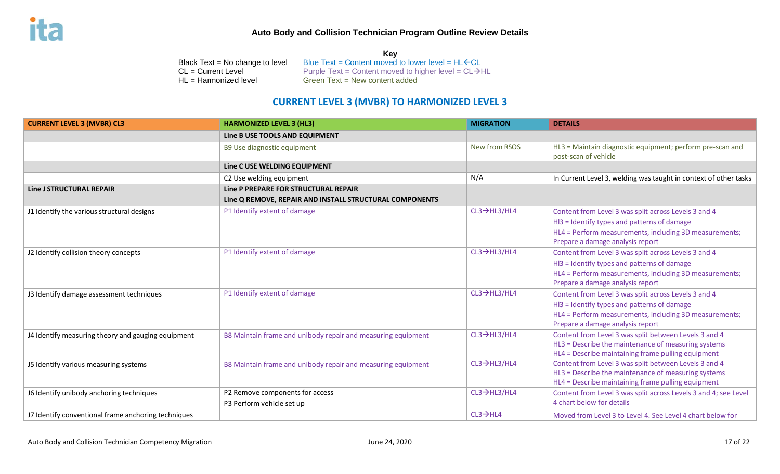|                                 | Kev                                                               |
|---------------------------------|-------------------------------------------------------------------|
| Black Text = No change to level | Blue Text = Content moved to lower level = $HL$ $\leftarrow$ CL   |
| CL = Current Level              | Purple Text = Content moved to higher level = $CL \rightarrow HL$ |
| HL = Harmonized level           | Green $Text = New content added$                                  |

# **CURRENT LEVEL 3 (MVBR) TO HARMONIZED LEVEL 3**

| <b>CURRENT LEVEL 3 (MVBR) CL3</b>                   | <b>HARMONIZED LEVEL 3 (HL3)</b>                              | <b>MIGRATION</b>          | <b>DETAILS</b>                                                                                                                                                                                    |
|-----------------------------------------------------|--------------------------------------------------------------|---------------------------|---------------------------------------------------------------------------------------------------------------------------------------------------------------------------------------------------|
|                                                     | Line B USE TOOLS AND EQUIPMENT                               |                           |                                                                                                                                                                                                   |
|                                                     | B9 Use diagnostic equipment                                  | New from RSOS             | HL3 = Maintain diagnostic equipment; perform pre-scan and<br>post-scan of vehicle                                                                                                                 |
|                                                     | Line C USE WELDING EQUIPMENT                                 |                           |                                                                                                                                                                                                   |
|                                                     | C2 Use welding equipment                                     | N/A                       | In Current Level 3, welding was taught in context of other tasks                                                                                                                                  |
| <b>Line J STRUCTURAL REPAIR</b>                     | Line P PREPARE FOR STRUCTURAL REPAIR                         |                           |                                                                                                                                                                                                   |
|                                                     | Line Q REMOVE, REPAIR AND INSTALL STRUCTURAL COMPONENTS      |                           |                                                                                                                                                                                                   |
| J1 Identify the various structural designs          | P1 Identify extent of damage                                 | $CL3 \rightarrow HL3/HL4$ | Content from Level 3 was split across Levels 3 and 4<br>HI3 = Identify types and patterns of damage<br>HL4 = Perform measurements, including 3D measurements;<br>Prepare a damage analysis report |
| J2 Identify collision theory concepts               | P1 Identify extent of damage                                 | $CL3 \rightarrow HL3/HL4$ | Content from Level 3 was split across Levels 3 and 4<br>HI3 = Identify types and patterns of damage<br>HL4 = Perform measurements, including 3D measurements;<br>Prepare a damage analysis report |
| J3 Identify damage assessment techniques            | P1 Identify extent of damage                                 | $CL3 \rightarrow HL3/HL4$ | Content from Level 3 was split across Levels 3 and 4<br>HI3 = Identify types and patterns of damage<br>HL4 = Perform measurements, including 3D measurements;<br>Prepare a damage analysis report |
| J4 Identify measuring theory and gauging equipment  | B8 Maintain frame and unibody repair and measuring equipment | $CL3 \rightarrow HL3/HL4$ | Content from Level 3 was split between Levels 3 and 4<br>HL3 = Describe the maintenance of measuring systems<br>HL4 = Describe maintaining frame pulling equipment                                |
| J5 Identify various measuring systems               | B8 Maintain frame and unibody repair and measuring equipment | $CL3 \rightarrow HL3/HL4$ | Content from Level 3 was split between Levels 3 and 4<br>HL3 = Describe the maintenance of measuring systems<br>HL4 = Describe maintaining frame pulling equipment                                |
| J6 Identify unibody anchoring techniques            | P2 Remove components for access<br>P3 Perform vehicle set up | $CL3 \rightarrow HL3/HL4$ | Content from Level 3 was split across Levels 3 and 4; see Level<br>4 chart below for details                                                                                                      |
| J7 Identify conventional frame anchoring techniques |                                                              | $CL3 \rightarrow HLA$     | Moved from Level 3 to Level 4. See Level 4 chart below for                                                                                                                                        |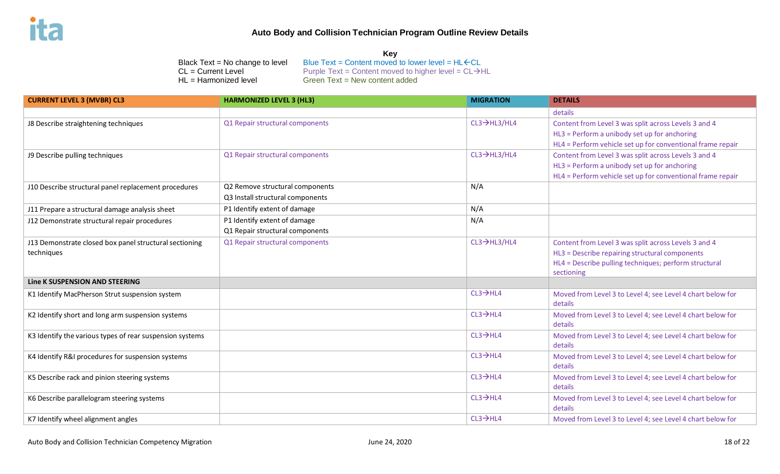| <b>CURRENT LEVEL 3 (MVBR) CL3</b>                                    | <b>HARMONIZED LEVEL 3 (HL3)</b>                                     | <b>MIGRATION</b>          | <b>DETAILS</b>                                                                                                                                                                |
|----------------------------------------------------------------------|---------------------------------------------------------------------|---------------------------|-------------------------------------------------------------------------------------------------------------------------------------------------------------------------------|
|                                                                      |                                                                     |                           | details                                                                                                                                                                       |
| J8 Describe straightening techniques                                 | Q1 Repair structural components                                     | $CL3 \rightarrow HL3/HL4$ | Content from Level 3 was split across Levels 3 and 4<br>HL3 = Perform a unibody set up for anchoring<br>HL4 = Perform vehicle set up for conventional frame repair            |
| J9 Describe pulling techniques                                       | Q1 Repair structural components                                     | $CL3 \rightarrow HL3/HL4$ | Content from Level 3 was split across Levels 3 and 4<br>HL3 = Perform a unibody set up for anchoring<br>HL4 = Perform vehicle set up for conventional frame repair            |
| J10 Describe structural panel replacement procedures                 | Q2 Remove structural components<br>Q3 Install structural components | N/A                       |                                                                                                                                                                               |
| J11 Prepare a structural damage analysis sheet                       | P1 Identify extent of damage                                        | N/A                       |                                                                                                                                                                               |
| J12 Demonstrate structural repair procedures                         | P1 Identify extent of damage<br>Q1 Repair structural components     | N/A                       |                                                                                                                                                                               |
| J13 Demonstrate closed box panel structural sectioning<br>techniques | Q1 Repair structural components                                     | $CL3 \rightarrow HL3/HL4$ | Content from Level 3 was split across Levels 3 and 4<br>HL3 = Describe repairing structural components<br>HL4 = Describe pulling techniques; perform structural<br>sectioning |
| Line K SUSPENSION AND STEERING                                       |                                                                     |                           |                                                                                                                                                                               |
| K1 Identify MacPherson Strut suspension system                       |                                                                     | $CL3 \rightarrow HLA$     | Moved from Level 3 to Level 4; see Level 4 chart below for<br>details                                                                                                         |
| K2 Identify short and long arm suspension systems                    |                                                                     | $CL3 \rightarrow HLA$     | Moved from Level 3 to Level 4; see Level 4 chart below for<br>details                                                                                                         |
| K3 Identify the various types of rear suspension systems             |                                                                     | $CL3 \rightarrow HLA$     | Moved from Level 3 to Level 4; see Level 4 chart below for<br>details                                                                                                         |
| K4 Identify R&I procedures for suspension systems                    |                                                                     | $CL3 \rightarrow HLA$     | Moved from Level 3 to Level 4; see Level 4 chart below for<br>details                                                                                                         |
| K5 Describe rack and pinion steering systems                         |                                                                     | $CL3 \rightarrow HLA$     | Moved from Level 3 to Level 4; see Level 4 chart below for<br>details                                                                                                         |
| K6 Describe parallelogram steering systems                           |                                                                     | $CL3 \rightarrow HLA$     | Moved from Level 3 to Level 4; see Level 4 chart below for<br>details                                                                                                         |
| K7 Identify wheel alignment angles                                   |                                                                     | $CL3 \rightarrow HLA$     | Moved from Level 3 to Level 4; see Level 4 chart below for                                                                                                                    |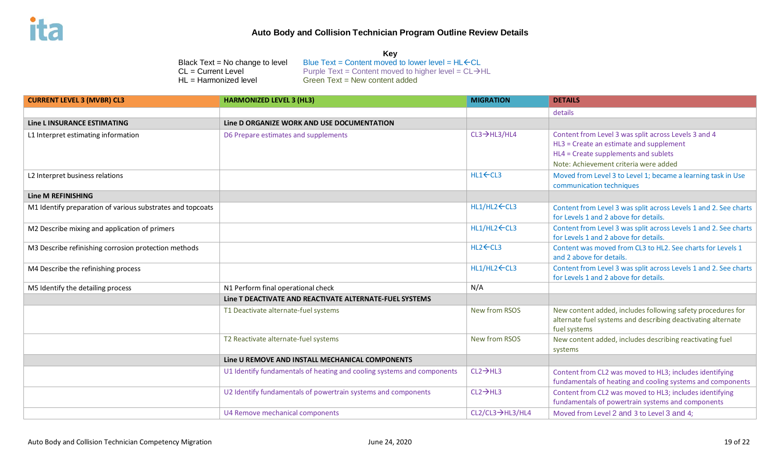**Key**

| Blue Text = Content moved to lower level = $HL$ $\leftarrow$ CL<br>Black Text = No change to level<br>$CL = Current Level$<br>Purple Text = Content moved to higher level = $CL \rightarrow HL$<br>Green Text = New content added<br>HL = Harmonized level |                                                                        |                              |                                                                                                                                             |  |  |
|------------------------------------------------------------------------------------------------------------------------------------------------------------------------------------------------------------------------------------------------------------|------------------------------------------------------------------------|------------------------------|---------------------------------------------------------------------------------------------------------------------------------------------|--|--|
| <b>CURRENT LEVEL 3 (MVBR) CL3</b>                                                                                                                                                                                                                          | <b>HARMONIZED LEVEL 3 (HL3)</b>                                        | <b>MIGRATION</b>             | <b>DETAILS</b>                                                                                                                              |  |  |
|                                                                                                                                                                                                                                                            |                                                                        |                              | details                                                                                                                                     |  |  |
| <b>Line L INSURANCE ESTIMATING</b>                                                                                                                                                                                                                         | Line D ORGANIZE WORK AND USE DOCUMENTATION                             |                              |                                                                                                                                             |  |  |
| L1 Interpret estimating information                                                                                                                                                                                                                        | D6 Prepare estimates and supplements                                   | $CL3 \rightarrow HL3/HL4$    | Content from Level 3 was split across Levels 3 and 4<br>HL3 = Create an estimate and supplement<br>HL4 = Create supplements and sublets     |  |  |
|                                                                                                                                                                                                                                                            |                                                                        |                              | Note: Achievement criteria were added                                                                                                       |  |  |
| L2 Interpret business relations                                                                                                                                                                                                                            |                                                                        | $HL1$ $\leftarrow$ $CL3$     | Moved from Level 3 to Level 1; became a learning task in Use<br>communication techniques                                                    |  |  |
| <b>Line M REFINISHING</b>                                                                                                                                                                                                                                  |                                                                        |                              |                                                                                                                                             |  |  |
| M1 Identify preparation of various substrates and topcoats                                                                                                                                                                                                 |                                                                        | $HL1/HL2$ $\leftarrow$ $CL3$ | Content from Level 3 was split across Levels 1 and 2. See charts<br>for Levels 1 and 2 above for details.                                   |  |  |
| M2 Describe mixing and application of primers                                                                                                                                                                                                              |                                                                        | HL1/HL2 ← CL3                | Content from Level 3 was split across Levels 1 and 2. See charts<br>for Levels 1 and 2 above for details.                                   |  |  |
| M3 Describe refinishing corrosion protection methods                                                                                                                                                                                                       |                                                                        | HL2←CL3                      | Content was moved from CL3 to HL2. See charts for Levels 1<br>and 2 above for details.                                                      |  |  |
| M4 Describe the refinishing process                                                                                                                                                                                                                        |                                                                        | HL1/HL2 ← CL3                | Content from Level 3 was split across Levels 1 and 2. See charts<br>for Levels 1 and 2 above for details.                                   |  |  |
| M5 Identify the detailing process                                                                                                                                                                                                                          | N1 Perform final operational check                                     | N/A                          |                                                                                                                                             |  |  |
|                                                                                                                                                                                                                                                            | Line T DEACTIVATE AND REACTIVATE ALTERNATE-FUEL SYSTEMS                |                              |                                                                                                                                             |  |  |
|                                                                                                                                                                                                                                                            | T1 Deactivate alternate-fuel systems                                   | <b>New from RSOS</b>         | New content added, includes following safety procedures for<br>alternate fuel systems and describing deactivating alternate<br>fuel systems |  |  |
|                                                                                                                                                                                                                                                            | T2 Reactivate alternate-fuel systems                                   | New from RSOS                | New content added, includes describing reactivating fuel<br>systems                                                                         |  |  |
|                                                                                                                                                                                                                                                            | Line U REMOVE AND INSTALL MECHANICAL COMPONENTS                        |                              |                                                                                                                                             |  |  |
|                                                                                                                                                                                                                                                            | U1 Identify fundamentals of heating and cooling systems and components | $CL2 \rightarrow HL3$        | Content from CL2 was moved to HL3; includes identifying<br>fundamentals of heating and cooling systems and components                       |  |  |
|                                                                                                                                                                                                                                                            | U2 Identify fundamentals of powertrain systems and components          | $CL2 \rightarrow HL3$        | Content from CL2 was moved to HL3; includes identifying<br>fundamentals of powertrain systems and components                                |  |  |
|                                                                                                                                                                                                                                                            | U4 Remove mechanical components                                        | CL2/CL3→HL3/HL4              | Moved from Level 2 and 3 to Level 3 and 4;                                                                                                  |  |  |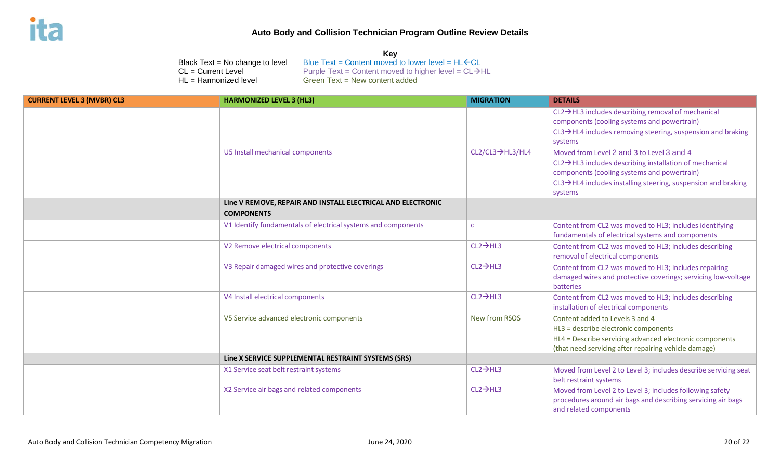**Key**

|                                   | Black Text = No change to level<br>$CL = Current Level$<br>$HL = Harmonized level$ | Blue Text = Content moved to lower level = $HL$ $\leftarrow$ CL<br>Purple Text = Content moved to higher level = $CL \rightarrow HL$<br>Green Text = New content added |                       |                                                                                                                                                                                                                               |
|-----------------------------------|------------------------------------------------------------------------------------|------------------------------------------------------------------------------------------------------------------------------------------------------------------------|-----------------------|-------------------------------------------------------------------------------------------------------------------------------------------------------------------------------------------------------------------------------|
| <b>CURRENT LEVEL 3 (MVBR) CL3</b> | <b>HARMONIZED LEVEL 3 (HL3)</b>                                                    |                                                                                                                                                                        | <b>MIGRATION</b>      | <b>DETAILS</b>                                                                                                                                                                                                                |
|                                   |                                                                                    |                                                                                                                                                                        |                       | $CL2 \rightarrow HL3$ includes describing removal of mechanical<br>components (cooling systems and powertrain)<br>$CL3 \rightarrow HLA$ includes removing steering, suspension and braking<br>systems                         |
|                                   | U5 Install mechanical components                                                   |                                                                                                                                                                        | CL2/CL3→HL3/HL4       | Moved from Level 2 and 3 to Level 3 and 4<br>CL2→HL3 includes describing installation of mechanical<br>components (cooling systems and powertrain)<br>CL3→HL4 includes installing steering, suspension and braking<br>systems |
|                                   | <b>COMPONENTS</b>                                                                  | Line V REMOVE, REPAIR AND INSTALL ELECTRICAL AND ELECTRONIC                                                                                                            |                       |                                                                                                                                                                                                                               |
|                                   |                                                                                    | V1 Identify fundamentals of electrical systems and components                                                                                                          | $\mathsf{C}$          | Content from CL2 was moved to HL3; includes identifying<br>fundamentals of electrical systems and components                                                                                                                  |
|                                   | V2 Remove electrical components                                                    |                                                                                                                                                                        | $CL2 \rightarrow HL3$ | Content from CL2 was moved to HL3; includes describing<br>removal of electrical components                                                                                                                                    |
|                                   |                                                                                    | V3 Repair damaged wires and protective coverings                                                                                                                       | $CL2 \rightarrow HL3$ | Content from CL2 was moved to HL3; includes repairing<br>damaged wires and protective coverings; servicing low-voltage<br>batteries                                                                                           |
|                                   | V4 Install electrical components                                                   |                                                                                                                                                                        | $CL2 \rightarrow HL3$ | Content from CL2 was moved to HL3; includes describing<br>installation of electrical components                                                                                                                               |
|                                   |                                                                                    | V5 Service advanced electronic components                                                                                                                              | New from RSOS         | Content added to Levels 3 and 4<br>HL3 = describe electronic components<br>HL4 = Describe servicing advanced electronic components<br>(that need servicing after repairing vehicle damage)                                    |
|                                   |                                                                                    | Line X SERVICE SUPPLEMENTAL RESTRAINT SYSTEMS (SRS)                                                                                                                    |                       |                                                                                                                                                                                                                               |
|                                   | X1 Service seat belt restraint systems                                             |                                                                                                                                                                        | $CL2 \rightarrow HL3$ | Moved from Level 2 to Level 3; includes describe servicing seat<br>belt restraint systems                                                                                                                                     |
|                                   |                                                                                    | X2 Service air bags and related components                                                                                                                             | $CL2 \rightarrow HL3$ | Moved from Level 2 to Level 3; includes following safety<br>procedures around air bags and describing servicing air bags<br>and related components                                                                            |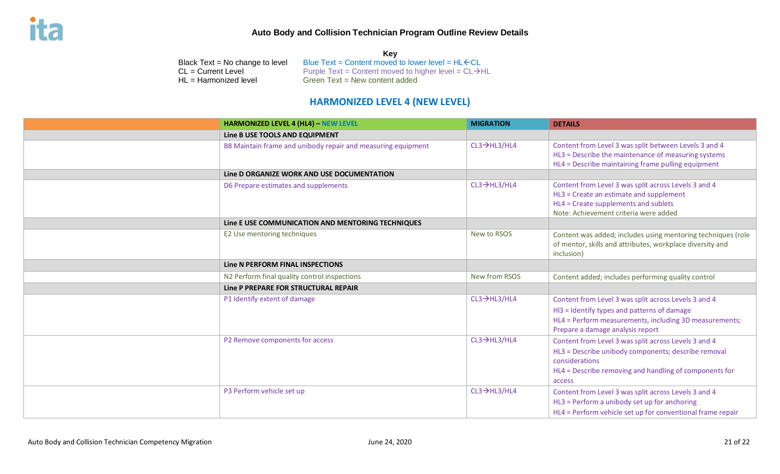**Key** Black Text = No change to level Blue Text = Content moved to lower level =  $HL$   $CL$ **CL** = **Current Level** Purple Text = Content moved to higher level =  $CL \rightarrow HL$ HL = Harmonized level Green Text = New content added

# **HARMONIZED LEVEL 4 (NEW LEVEL)**

| <b>HARMONIZED LEVEL 4 (HL4) - NEW LEVEL</b>                  | <b>MIGRATION</b>          | <b>DETAILS</b>                                                                                                                                                                                    |
|--------------------------------------------------------------|---------------------------|---------------------------------------------------------------------------------------------------------------------------------------------------------------------------------------------------|
| Line B USE TOOLS AND EQUIPMENT                               |                           |                                                                                                                                                                                                   |
| B8 Maintain frame and unibody repair and measuring equipment | $CL3 \rightarrow HL3/HL4$ | Content from Level 3 was split between Levels 3 and 4<br>HL3 = Describe the maintenance of measuring systems<br>HL4 = Describe maintaining frame pulling equipment                                |
| Line D ORGANIZE WORK AND USE DOCUMENTATION                   |                           |                                                                                                                                                                                                   |
| D6 Prepare estimates and supplements                         | $CL3 \rightarrow HL3/HL4$ | Content from Level 3 was split across Levels 3 and 4<br>HL3 = Create an estimate and supplement<br>HL4 = Create supplements and sublets<br>Note: Achievement criteria were added                  |
| Line E USE COMMUNICATION AND MENTORING TECHNIQUES            |                           |                                                                                                                                                                                                   |
| E2 Use mentoring techniques                                  | New to RSOS               | Content was added; includes using mentoring techniques (role<br>of mentor, skills and attributes, workplace diversity and<br>inclusion)                                                           |
| Line N PERFORM FINAL INSPECTIONS                             |                           |                                                                                                                                                                                                   |
| N2 Perform final quality control inspections                 | New from RSOS             | Content added; includes performing quality control                                                                                                                                                |
| Line P PREPARE FOR STRUCTURAL REPAIR                         |                           |                                                                                                                                                                                                   |
| P1 Identify extent of damage                                 | $CL3 \rightarrow HL3/HL4$ | Content from Level 3 was split across Levels 3 and 4<br>HI3 = Identify types and patterns of damage<br>HL4 = Perform measurements, including 3D measurements;<br>Prepare a damage analysis report |
| P2 Remove components for access                              | $CL3 \rightarrow HL3/HL4$ | Content from Level 3 was split across Levels 3 and 4<br>HL3 = Describe unibody components; describe removal<br>considerations<br>HL4 = Describe removing and handling of components for<br>access |
| P3 Perform vehicle set up                                    | $CL3 \rightarrow HL3/HL4$ | Content from Level 3 was split across Levels 3 and 4<br>HL3 = Perform a unibody set up for anchoring<br>HL4 = Perform vehicle set up for conventional frame repair                                |